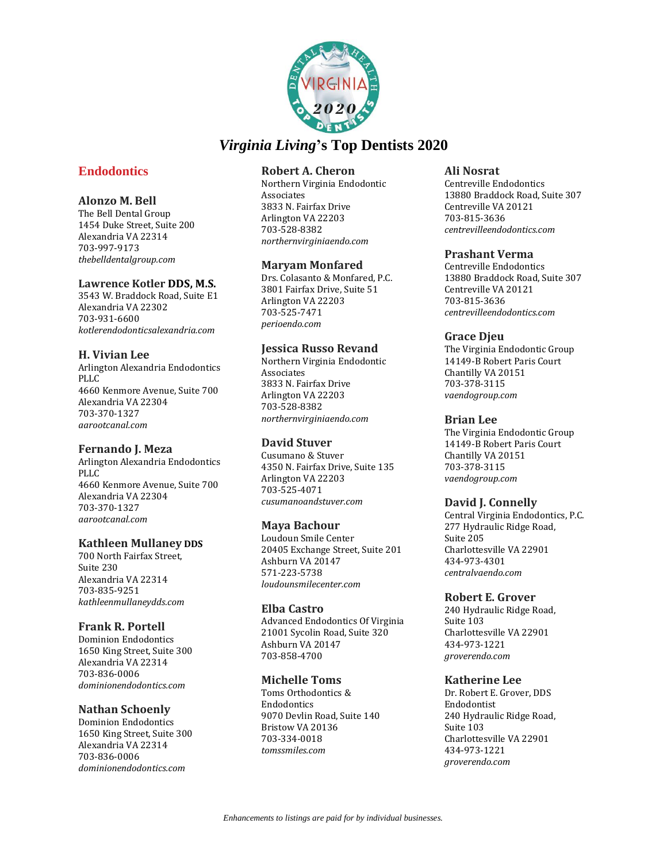

# **Endodontics**

# **Alonzo M. Bell**

The Bell Dental Group 1454 Duke Street, Suite 200 Alexandria VA 22314 703-997-9173 *thebelldentalgroup.com*

### **Lawrence Kotler DDS, M.S.**

3543 W. Braddock Road, Suite E1 Alexandria VA 22302 703-931-6600 *kotlerendodonticsalexandria.com*

# **H. Vivian Lee**

Arlington Alexandria Endodontics PLLC 4660 Kenmore Avenue, Suite 700 Alexandria VA 22304 703-370-1327 *aarootcanal.com*

# **Fernando J. Meza**

Arlington Alexandria Endodontics PLLC 4660 Kenmore Avenue, Suite 700 Alexandria VA 22304 703-370-1327 *aarootcanal.com*

# **Kathleen Mullaney DDS**

700 North Fairfax Street, Suite 230 Alexandria VA 22314 703-835-9251 *kathleenmullaneydds.com*

# **Frank R. Portell**

Dominion Endodontics 1650 King Street, Suite 300 Alexandria VA 22314 703-836-0006 *dominionendodontics.com*

# **Nathan Schoenly**

Dominion Endodontics 1650 King Street, Suite 300 Alexandria VA 22314 703-836-0006 *dominionendodontics.com*

# **Robert A. Cheron**

Northern Virginia Endodontic Associates 3833 N. Fairfax Drive Arlington VA 22203 703-528-8382 *northernvirginiaendo.com*

# **Maryam Monfared**

Drs. Colasanto & Monfared, P.C. 3801 Fairfax Drive, Suite 51 Arlington VA 22203 703-525-7471 *perioendo.com*

# **Jessica Russo Revand**

Northern Virginia Endodontic Associates 3833 N. Fairfax Drive Arlington VA 22203 703-528-8382 *northernvirginiaendo.com*

# **David Stuver**

Cusumano & Stuver 4350 N. Fairfax Drive, Suite 135 Arlington VA 22203 703-525-4071 *cusumanoandstuver.com*

# **Maya Bachour**

Loudoun Smile Center 20405 Exchange Street, Suite 201 Ashburn VA 20147 571-223-5738 *loudounsmilecenter.com*

# **Elba Castro**

Advanced Endodontics Of Virginia 21001 Sycolin Road, Suite 320 Ashburn VA 20147 703-858-4700

# **Michelle Toms**

Toms Orthodontics & Endodontics 9070 Devlin Road, Suite 140 Bristow VA 20136 703-334-0018 *tomssmiles.com*

### **Ali Nosrat**

Centreville Endodontics 13880 Braddock Road, Suite 307 Centreville VA 20121 703-815-3636 *centrevilleendodontics.com*

# **Prashant Verma**

Centreville Endodontics 13880 Braddock Road, Suite 307 Centreville VA 20121 703-815-3636 *centrevilleendodontics.com*

# **Grace Djeu**

The Virginia Endodontic Group 14149-B Robert Paris Court Chantilly VA 20151 703-378-3115 *vaendogroup.com*

# **Brian Lee**

The Virginia Endodontic Group 14149-B Robert Paris Court Chantilly VA 20151 703-378-3115 *vaendogroup.com*

# **David J. Connelly**

Central Virginia Endodontics, P.C. 277 Hydraulic Ridge Road, Suite 205 Charlottesville VA 22901 434-973-4301 *centralvaendo.com*

# **Robert E. Grover**

240 Hydraulic Ridge Road, Suite 103 Charlottesville VA 22901 434-973-1221 *groverendo.com*

# **Katherine Lee**

Dr. Robert E. Grover, DDS Endodontist 240 Hydraulic Ridge Road, Suite 103 Charlottesville VA 22901 434-973-1221 *groverendo.com*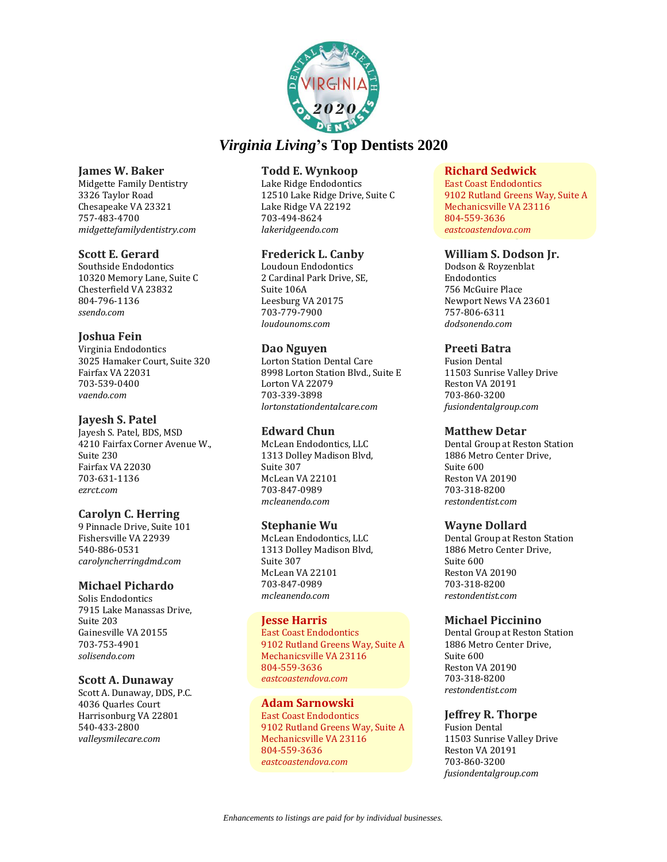

### **James W. Baker**

Midgette Family Dentistry 3326 Taylor Road Chesapeake VA 23321 757-483-4700 *midgettefamilydentistry.com*

### **Scott E. Gerard**

Southside Endodontics 10320 Memory Lane, Suite C Chesterfield VA 23832 804-796-1136 *ssendo.com*

# **Joshua Fein**

Virginia Endodontics 3025 Hamaker Court, Suite 320 Fairfax VA 22031 703-539-0400 *vaendo.com*

### **Jayesh S. Patel**

Jayesh S. Patel, BDS, MSD 4210 Fairfax Corner Avenue W., Suite 230 Fairfax VA 22030 703-631-1136 *ezrct.com*

# **Carolyn C. Herring**

9 Pinnacle Drive, Suite 101 Fishersville VA 22939 540-886-0531 *carolyncherringdmd.com*

### **Michael Pichardo**

Solis Endodontics 7915 Lake Manassas Drive, Suite 203 Gainesville VA 20155 703-753-4901 *solisendo.com*

### **Scott A. Dunaway**

Scott A. Dunaway, DDS, P.C. 4036 Quarles Court Harrisonburg VA 22801 540-433-2800 *valleysmilecare.com*

### **Todd E. Wynkoop**

Lake Ridge Endodontics 12510 Lake Ridge Drive, Suite C Lake Ridge VA 22192 703-494-8624 *lakeridgeendo.com*

# **Frederick L. Canby**

Loudoun Endodontics 2 Cardinal Park Drive, SE, Suite 106A Leesburg VA 20175 703-779-7900 *loudounoms.com*

### **Dao Nguyen**

Lorton Station Dental Care 8998 Lorton Station Blvd., Suite E Lorton VA 22079 703-339-3898 *lortonstationdentalcare.com*

# **Edward Chun**

McLean Endodontics, LLC 1313 Dolley Madison Blvd, Suite 307 McLean VA 22101 703-847-0989 *mcleanendo.com*

### **Stephanie Wu**

McLean Endodontics, LLC 1313 Dolley Madison Blvd, Suite 307 McLean VA 22101 703-847-0989 *mcleanendo.com*

### **Jesse Harris**

East Coast Endodontics 9102 Rutland Greens Way, Suite A Mechanicsville VA 23116 804-559-3636 *eastcoastendova.com*

### **Adam Sarnowski**

East Coast Endodontics 9102 Rutland Greens Way, Suite A Mechanicsville VA 23116 804-559-3636 *eastcoastendova.com*

### **Richard Sedwick**

East Coast Endodontics 9102 Rutland Greens Way, Suite A Mechanicsville VA 23116 804-559-3636 *eastcoastendova.com*

### **William S. Dodson Jr.**

Dodson & Royzenblat Endodontics 756 McGuire Place Newport News VA 23601 757-806-6311 *dodsonendo.com*

### **Preeti Batra**

Fusion Dental 11503 Sunrise Valley Drive Reston VA 20191 703-860-3200 *fusiondentalgroup.com*

### **Matthew Detar**

Dental Group at Reston Station 1886 Metro Center Drive, Suite 600 Reston VA 20190 703-318-8200 *restondentist.com*

### **Wayne Dollard**

Dental Group at Reston Station 1886 Metro Center Drive, Suite 600 Reston VA 20190 703-318-8200 *restondentist.com*

### **Michael Piccinino**

Dental Group at Reston Station 1886 Metro Center Drive, Suite 600 Reston VA 20190 703-318-8200 *restondentist.com*

# **Jeffrey R. Thorpe**

Fusion Dental 11503 Sunrise Valley Drive Reston VA 20191 703-860-3200 *fusiondentalgroup.com*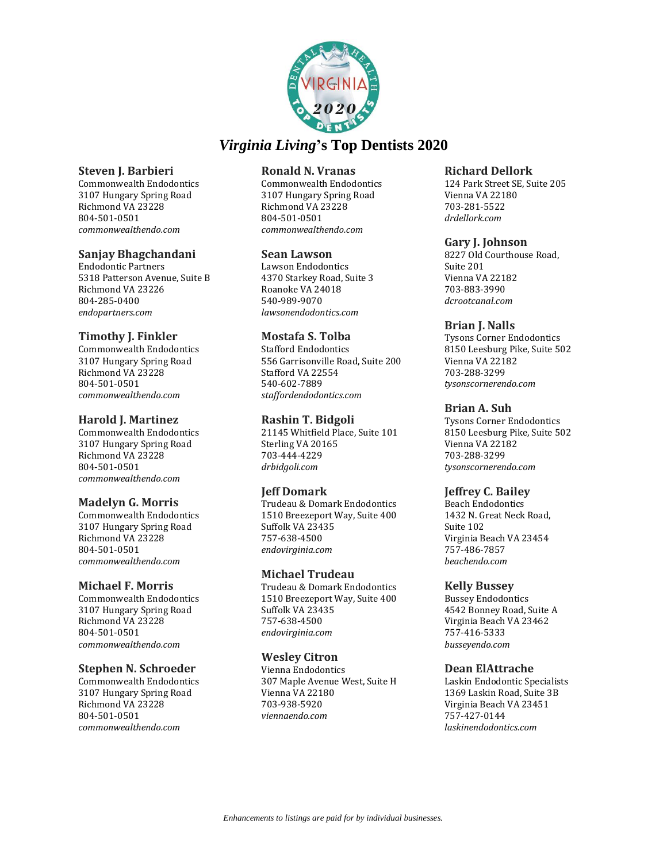

### **Steven J. Barbieri**

Commonwealth Endodontics 3107 Hungary Spring Road Richmond VA 23228 804-501-0501 *commonwealthendo.com*

### **Sanjay Bhagchandani**

Endodontic Partners 5318 Patterson Avenue, Suite B Richmond VA 23226 804-285-0400 *endopartners.com*

# **Timothy J. Finkler**

Commonwealth Endodontics 3107 Hungary Spring Road Richmond VA 23228 804-501-0501 *commonwealthendo.com*

# **Harold J. Martinez**

Commonwealth Endodontics 3107 Hungary Spring Road Richmond VA 23228 804-501-0501 *commonwealthendo.com*

# **Madelyn G. Morris**

Commonwealth Endodontics 3107 Hungary Spring Road Richmond VA 23228 804-501-0501 *commonwealthendo.com*

### **Michael F. Morris**

Commonwealth Endodontics 3107 Hungary Spring Road Richmond VA 23228 804-501-0501 *commonwealthendo.com*

### **Stephen N. Schroeder**

Commonwealth Endodontics 3107 Hungary Spring Road Richmond VA 23228 804-501-0501 *commonwealthendo.com*

### **Ronald N. Vranas**

Commonwealth Endodontics 3107 Hungary Spring Road Richmond VA 23228 804-501-0501 *commonwealthendo.com*

### **Sean Lawson**

Lawson Endodontics 4370 Starkey Road, Suite 3 Roanoke VA 24018 540-989-9070 *lawsonendodontics.com*

### **Mostafa S. Tolba**

Stafford Endodontics 556 Garrisonville Road, Suite 200 Stafford VA 22554 540-602-7889 *staffordendodontics.com*

### **Rashin T. Bidgoli**

21145 Whitfield Place, Suite 101 Sterling VA 20165 703-444-4229 *drbidgoli.com*

# **Jeff Domark**

Trudeau & Domark Endodontics 1510 Breezeport Way, Suite 400 Suffolk VA 23435 757-638-4500 *endovirginia.com*

### **Michael Trudeau**

Trudeau & Domark Endodontics 1510 Breezeport Way, Suite 400 Suffolk VA 23435 757-638-4500 *endovirginia.com*

### **Wesley Citron**

Vienna Endodontics 307 Maple Avenue West, Suite H Vienna VA 22180 703-938-5920 *viennaendo.com*

### **Richard Dellork**

124 Park Street SE, Suite 205 Vienna VA 22180 703-281-5522 *drdellork.com*

### **Gary J. Johnson**

8227 Old Courthouse Road, Suite 201 Vienna VA 22182 703-883-3990 *dcrootcanal.com*

### **Brian J. Nalls**

Tysons Corner Endodontics 8150 Leesburg Pike, Suite 502 Vienna VA 22182 703-288-3299 *tysonscornerendo.com*

# **Brian A. Suh**

Tysons Corner Endodontics 8150 Leesburg Pike, Suite 502 Vienna VA 22182 703-288-3299 *tysonscornerendo.com*

# **Jeffrey C. Bailey**

Beach Endodontics 1432 N. Great Neck Road, Suite 102 Virginia Beach VA 23454 757-486-7857 *beachendo.com*

### **Kelly Bussey**

Bussey Endodontics 4542 Bonney Road, Suite A Virginia Beach VA 23462 757-416-5333 *busseyendo.com*

### **Dean ElAttrache**

Laskin Endodontic Specialists 1369 Laskin Road, Suite 3B Virginia Beach VA 23451 757-427-0144 *laskinendodontics.com*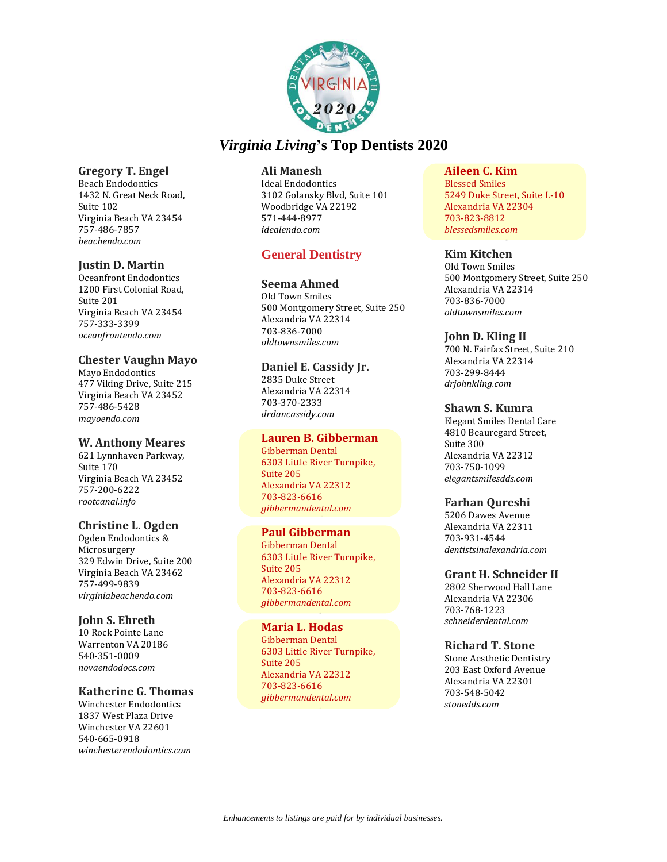

**Gregory T. Engel**  Beach Endodontics 1432 N. Great Neck Road, Suite 102 Virginia Beach VA 23454 757-486-7857 *beachendo.com*

# **Justin D. Martin**

Oceanfront Endodontics 1200 First Colonial Road, Suite 201 Virginia Beach VA 23454 757-333-3399 *oceanfrontendo.com*

### **Chester Vaughn Mayo**

Mayo Endodontics 477 Viking Drive, Suite 215 Virginia Beach VA 23452 757-486-5428 *mayoendo.com*

### **W. Anthony Meares**

621 Lynnhaven Parkway, Suite 170 Virginia Beach VA 23452 757-200-6222 *rootcanal.info*

### **Christine L. Ogden**

Ogden Endodontics & Microsurgery 329 Edwin Drive, Suite 200 Virginia Beach VA 23462 757-499-9839 *virginiabeachendo.com*

# **John S. Ehreth**

10 Rock Pointe Lane Warrenton VA 20186 540-351-0009 *novaendodocs.com*

# **Katherine G. Thomas**

Winchester Endodontics 1837 West Plaza Drive Winchester VA 22601 540-665-0918 *winchesterendodontics.com*

### **Ali Manesh**

Ideal Endodontics 3102 Golansky Blvd, Suite 101 Woodbridge VA 22192 571-444-8977 *idealendo.com*

# **General Dentistry**

### **Seema Ahmed**

Old Town Smiles 500 Montgomery Street, Suite 250 Alexandria VA 22314 703-836-7000 *oldtownsmiles.com*

### **Daniel E. Cassidy Jr.**

2835 Duke Street Alexandria VA 22314 703-370-2333 *drdancassidy.com*

# **Lauren B. Gibberman**

Gibberman Dental 6303 Little River Turnpike, Suite 205 Alexandria VA 22312 703-823-6616 *gibbermandental.com*

### **Paul Gibberman**

Gibberman Dental 6303 Little River Turnpike, Suite 205 Alexandria VA 22312 703-823-6616 *gibbermandental.com*

# **Maria L. Hodas**

Gibberman Dental 6303 Little River Turnpike, Suite 205 Alexandria VA 22312 703-823-6616 *gibbermandental.com*

# **Aileen C. Kim**

Blessed Smiles 5249 Duke Street, Suite L-10 Alexandria VA 22304 703-823-8812 *blessedsmiles.com*

### **Kim Kitchen**

Old Town Smiles 500 Montgomery Street, Suite 250 Alexandria VA 22314 703-836-7000 *oldtownsmiles.com*

### **John D. Kling II**

700 N. Fairfax Street, Suite 210 Alexandria VA 22314 703-299-8444 *drjohnkling.com*

### **Shawn S. Kumra**

Elegant Smiles Dental Care 4810 Beauregard Street, Suite 300 Alexandria VA 22312 703-750-1099 *elegantsmilesdds.com*

# **Farhan Qureshi**

5206 Dawes Avenue Alexandria VA 22311 703-931-4544 *dentistsinalexandria.com*

# **Grant H. Schneider II**

2802 Sherwood Hall Lane Alexandria VA 22306 703-768-1223 *schneiderdental.com*

# **Richard T. Stone**

Stone Aesthetic Dentistry 203 East Oxford Avenue Alexandria VA 22301 703-548-5042 *stonedds.com*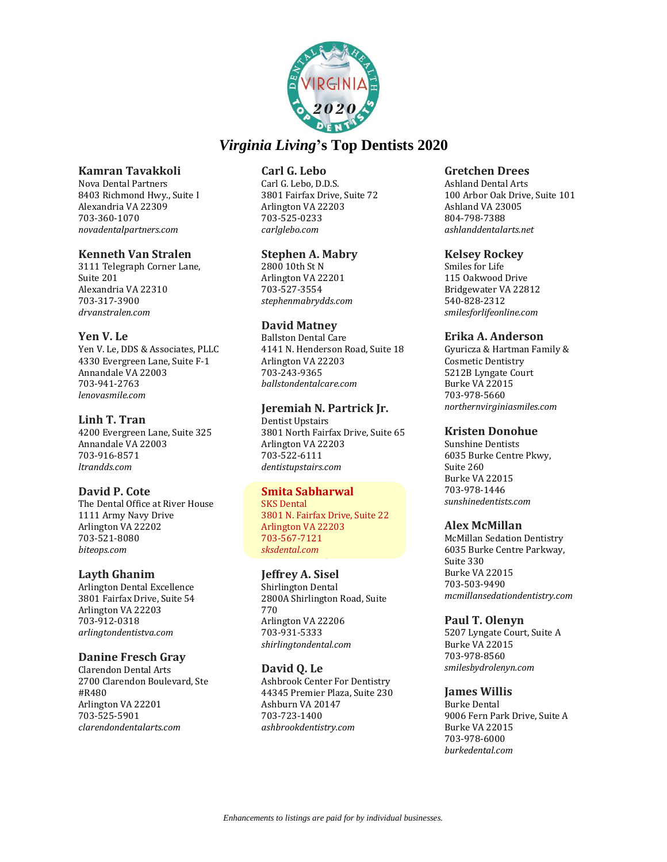

### **Kamran Tavakkoli**

Nova Dental Partners 8403 Richmond Hwy., Suite I Alexandria VA 22309 703-360-1070 *novadentalpartners.com*

### **Kenneth Van Stralen**

3111 Telegraph Corner Lane, Suite 201 Alexandria VA 22310 703-317-3900 *drvanstralen.com*

### **Yen V. Le**

Yen V. Le, DDS & Associates, PLLC 4330 Evergreen Lane, Suite F-1 Annandale VA 22003 703-941-2763 *lenovasmile.com*

### **Linh T. Tran**

4200 Evergreen Lane, Suite 325 Annandale VA 22003 703-916-8571 *ltrandds.com*

# **David P. Cote**

The Dental Office at River House 1111 Army Navy Drive Arlington VA 22202 703-521-8080 *biteops.com*

### **Layth Ghanim**

Arlington Dental Excellence 3801 Fairfax Drive, Suite 54 Arlington VA 22203 703-912-0318 *arlingtondentistva.com*

### **Danine Fresch Gray**

Clarendon Dental Arts 2700 Clarendon Boulevard, Ste #R480 Arlington VA 22201 703-525-5901 *clarendondentalarts.com*

# **Carl G. Lebo**

Carl G. Lebo, D.D.S. 3801 Fairfax Drive, Suite 72 Arlington VA 22203 703-525-0233 *carlglebo.com*

### **Stephen A. Mabry**

2800 10th St N Arlington VA 22201 703-527-3554 *stephenmabrydds.com*

### **David Matney**

Ballston Dental Care 4141 N. Henderson Road, Suite 18 Arlington VA 22203 703-243-9365 *ballstondentalcare.com*

### **Jeremiah N. Partrick Jr.**

Dentist Upstairs 3801 North Fairfax Drive, Suite 65 Arlington VA 22203 703-522-6111 *dentistupstairs.com*

# **Smita Sabharwal**

SKS Dental 3801 N. Fairfax Drive, Suite 22 Arlington VA 22203 703-567-7121 *sksdental.com*

# **Jeffrey A. Sisel**

Shirlington Dental 2800A Shirlington Road, Suite 770 Arlington VA 22206 703-931-5333 *shirlingtondental.com*

### **David Q. Le**

Ashbrook Center For Dentistry 44345 Premier Plaza, Suite 230 Ashburn VA 20147 703-723-1400 *ashbrookdentistry.com*

### **Gretchen Drees**

Ashland Dental Arts 100 Arbor Oak Drive, Suite 101 Ashland VA 23005 804-798-7388 *ashlanddentalarts.net*

### **Kelsey Rockey**

Smiles for Life 115 Oakwood Drive Bridgewater VA 22812 540-828-2312 *smilesforlifeonline.com*

### **Erika A. Anderson**

Gyuricza & Hartman Family & Cosmetic Dentistry 5212B Lyngate Court Burke VA 22015 703-978-5660 *northernvirginiasmiles.com*

### **Kristen Donohue**

Sunshine Dentists 6035 Burke Centre Pkwy, Suite 260 Burke VA 22015 703-978-1446 *sunshinedentists.com*

### **Alex McMillan**

McMillan Sedation Dentistry 6035 Burke Centre Parkway, Suite 330 Burke VA 22015 703-503-9490 *mcmillansedationdentistry.com*

# **Paul T. Olenyn**

5207 Lyngate Court, Suite A Burke VA 22015 703-978-8560 *smilesbydrolenyn.com*

# **James Willis**

Burke Dental 9006 Fern Park Drive, Suite A Burke VA 22015 703-978-6000 *burkedental.com*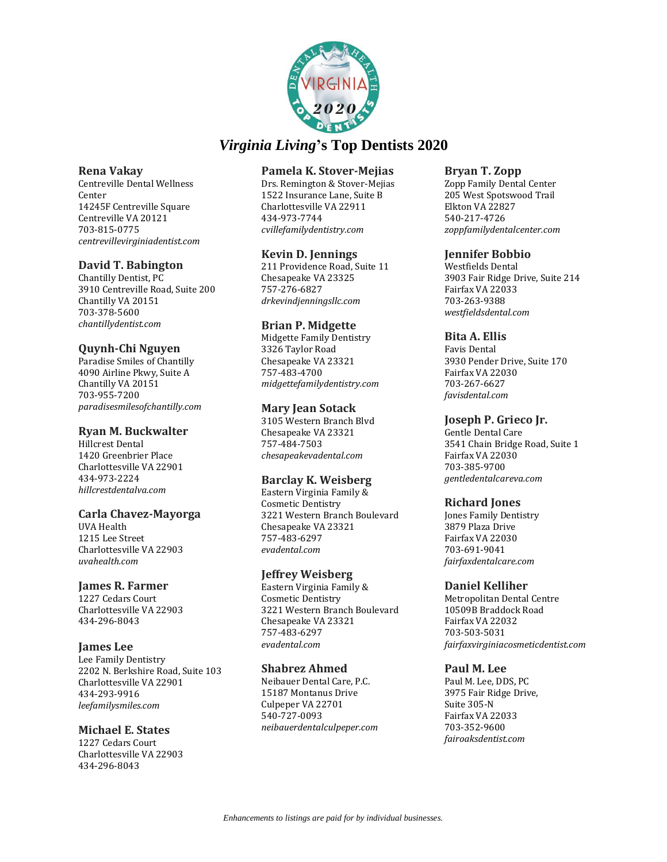

### **Rena Vakay**

Centreville Dental Wellness Center 14245F Centreville Square Centreville VA 20121 703-815-0775 *centrevillevirginiadentist.com*

# **David T. Babington**

Chantilly Dentist, PC 3910 Centreville Road, Suite 200 Chantilly VA 20151 703-378-5600 *chantillydentist.com*

# **Quynh-Chi Nguyen**

Paradise Smiles of Chantilly 4090 Airline Pkwy, Suite A Chantilly VA 20151 703-955-7200 *paradisesmilesofchantilly.com*

# **Ryan M. Buckwalter**

Hillcrest Dental 1420 Greenbrier Place Charlottesville VA 22901 434-973-2224 *hillcrestdentalva.com*

# **Carla Chavez-Mayorga**

UVA Health 1215 Lee Street Charlottesville VA 22903 *uvahealth.com*

# **James R. Farmer**

1227 Cedars Court Charlottesville VA 22903 434-296-8043

# **James Lee**

Lee Family Dentistry 2202 N. Berkshire Road, Suite 103 Charlottesville VA 22901 434-293-9916 *leefamilysmiles.com*

# **Michael E. States**

1227 Cedars Court Charlottesville VA 22903 434-296-8043

# **Pamela K. Stover-Mejias**

Drs. Remington & Stover-Mejias 1522 Insurance Lane, Suite B Charlottesville VA 22911 434-973-7744 *cvillefamilydentistry.com*

# **Kevin D. Jennings**

211 Providence Road, Suite 11 Chesapeake VA 23325 757-276-6827 *drkevindjenningsllc.com*

# **Brian P. Midgette**

Midgette Family Dentistry 3326 Taylor Road Chesapeake VA 23321 757-483-4700 *midgettefamilydentistry.com*

# **Mary Jean Sotack**

3105 Western Branch Blvd Chesapeake VA 23321 757-484-7503 *chesapeakevadental.com*

# **Barclay K. Weisberg**

Eastern Virginia Family & Cosmetic Dentistry 3221 Western Branch Boulevard Chesapeake VA 23321 757-483-6297 *evadental.com*

# **Jeffrey Weisberg**

Eastern Virginia Family & Cosmetic Dentistry 3221 Western Branch Boulevard Chesapeake VA 23321 757-483-6297 *evadental.com*

# **Shabrez Ahmed**

Neibauer Dental Care, P.C. 15187 Montanus Drive Culpeper VA 22701 540-727-0093 *neibauerdentalculpeper.com*

### **Bryan T. Zopp**

Zopp Family Dental Center 205 West Spotswood Trail Elkton VA 22827 540-217-4726 *zoppfamilydentalcenter.com*

# **Jennifer Bobbio**

Westfields Dental 3903 Fair Ridge Drive, Suite 214 Fairfax VA 22033 703-263-9388 *westfieldsdental.com*

# **Bita A. Ellis**

Favis Dental 3930 Pender Drive, Suite 170 Fairfax VA 22030 703-267-6627 *favisdental.com*

# **Joseph P. Grieco Jr.**

Gentle Dental Care 3541 Chain Bridge Road, Suite 1 Fairfax VA 22030 703-385-9700 *gentledentalcareva.com*

# **Richard Jones**

Jones Family Dentistry 3879 Plaza Drive Fairfax VA 22030 703-691-9041 *fairfaxdentalcare.com*

# **Daniel Kelliher**

Metropolitan Dental Centre 10509B Braddock Road Fairfax VA 22032 703-503-5031 *fairfaxvirginiacosmeticdentist.com*

# **Paul M. Lee**

Paul M. Lee, DDS, PC 3975 Fair Ridge Drive, Suite 305-N Fairfax VA 22033 703-352-9600 *fairoaksdentist.com*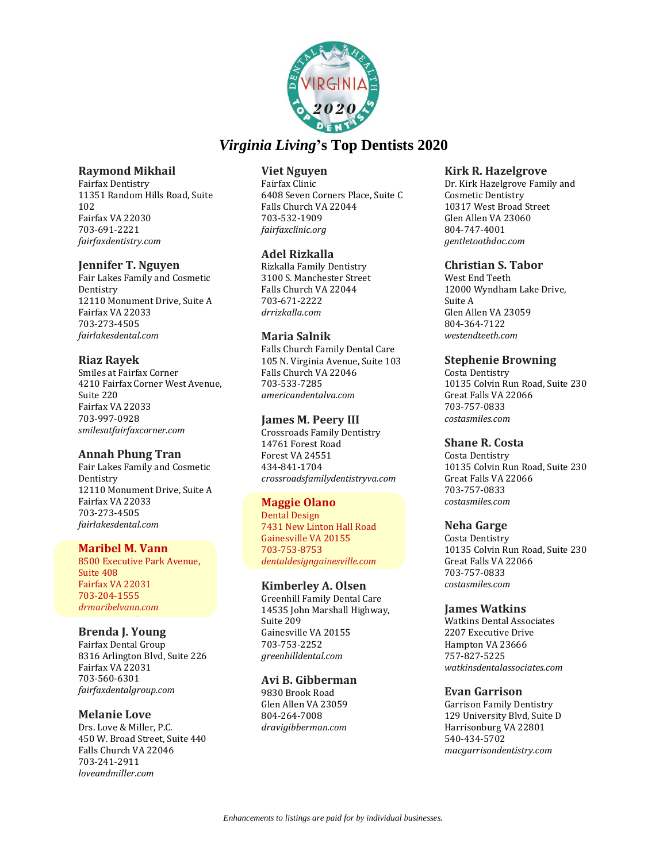

### **Raymond Mikhail**

Fairfax Dentistry 11351 Random Hills Road, Suite 102 Fairfax VA 22030 703-691-2221 *fairfaxdentistry.com*

### **Jennifer T. Nguyen**

Fair Lakes Family and Cosmetic Dentistry 12110 Monument Drive, Suite A Fairfax VA 22033 703-273-4505 *fairlakesdental.com*

### **Riaz Rayek**

Smiles at Fairfax Corner 4210 Fairfax Corner West Avenue, Suite 220 Fairfax VA 22033 703-997-0928 *smilesatfairfaxcorner.com*

# **Annah Phung Tran**

Fair Lakes Family and Cosmetic Dentistry 12110 Monument Drive, Suite A Fairfax VA 22033 703-273-4505 *fairlakesdental.com*

### **Maribel M. Vann**

8500 Executive Park Avenue, Suite 408 Fairfax VA 22031 703-204-1555 *drmaribelvann.com*

# **Brenda J. Young**

Fairfax Dental Group 8316 Arlington Blvd, Suite 226 Fairfax VA 22031 703-560-6301 *fairfaxdentalgroup.com*

# **Melanie Love**

Drs. Love & Miller, P.C. 450 W. Broad Street, Suite 440 Falls Church VA 22046 703-241-2911 *loveandmiller.com*

### **Viet Nguyen**

Fairfax Clinic 6408 Seven Corners Place, Suite C Falls Church VA 22044 703-532-1909 *fairfaxclinic.org*

### **Adel Rizkalla**

Rizkalla Family Dentistry 3100 S. Manchester Street Falls Church VA 22044 703-671-2222 *drrizkalla.com*

### **Maria Salnik**

Falls Church Family Dental Care 105 N. Virginia Avenue, Suite 103 Falls Church VA 22046 703-533-7285 *americandentalva.com*

### **James M. Peery III**

Crossroads Family Dentistry 14761 Forest Road Forest VA 24551 434-841-1704 *crossroadsfamilydentistryva.com*

### **Maggie Olano**

Dental Design 7431 New Linton Hall Road Gainesville VA 20155 703-753-8753 *dentaldesigngainesville.com*

### **Kimberley A. Olsen**

Greenhill Family Dental Care 14535 John Marshall Highway, Suite 209 Gainesville VA 20155 703-753-2252 *greenhilldental.com*

### **Avi B. Gibberman**

9830 Brook Road Glen Allen VA 23059 804-264-7008 *dravigibberman.com*

### **Kirk R. Hazelgrove**

Dr. Kirk Hazelgrove Family and Cosmetic Dentistry 10317 West Broad Street Glen Allen VA 23060 804-747-4001 *gentletoothdoc.com*

### **Christian S. Tabor**

West End Teeth 12000 Wyndham Lake Drive, Suite A Glen Allen VA 23059 804-364-7122 *westendteeth.com*

# **Stephenie Browning**

Costa Dentistry 10135 Colvin Run Road, Suite 230 Great Falls VA 22066 703-757-0833 *costasmiles.com*

# **Shane R. Costa**

Costa Dentistry 10135 Colvin Run Road, Suite 230 Great Falls VA 22066 703-757-0833 *costasmiles.com*

### **Neha Garge**

Costa Dentistry 10135 Colvin Run Road, Suite 230 Great Falls VA 22066 703-757-0833 *costasmiles.com*

### **James Watkins**

Watkins Dental Associates 2207 Executive Drive Hampton VA 23666 757-827-5225 *watkinsdentalassociates.com*

# **Evan Garrison**

Garrison Family Dentistry 129 University Blvd, Suite D Harrisonburg VA 22801 540-434-5702 *macgarrisondentistry.com*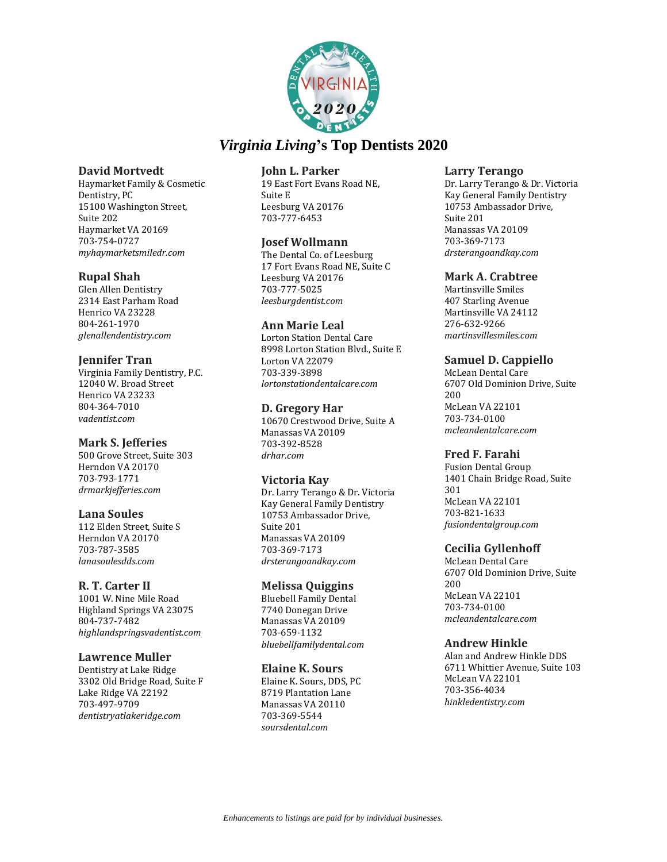

### **David Mortvedt**

Haymarket Family & Cosmetic Dentistry, PC 15100 Washington Street, Suite 202 Haymarket VA 20169 703-754-0727 *myhaymarketsmiledr.com*

# **Rupal Shah**

Glen Allen Dentistry 2314 East Parham Road Henrico VA 23228 804-261-1970 *glenallendentistry.com*

### **Jennifer Tran**

Virginia Family Dentistry, P.C. 12040 W. Broad Street Henrico VA 23233 804-364-7010 *vadentist.com*

# **Mark S. Jefferies**

500 Grove Street, Suite 303 Herndon VA 20170 703-793-1771 *drmarkjefferies.com*

# **Lana Soules**

112 Elden Street, Suite S Herndon VA 20170 703-787-3585 *lanasoulesdds.com*

# **R. T. Carter II**

1001 W. Nine Mile Road Highland Springs VA 23075 804-737-7482 *highlandspringsvadentist.com*

### **Lawrence Muller**

Dentistry at Lake Ridge 3302 Old Bridge Road, Suite F Lake Ridge VA 22192 703-497-9709 *dentistryatlakeridge.com*

### **John L. Parker**

19 East Fort Evans Road NE, Suite E Leesburg VA 20176 703-777-6453

### **Josef Wollmann**

The Dental Co. of Leesburg 17 Fort Evans Road NE, Suite C Leesburg VA 20176 703-777-5025 *leesburgdentist.com*

### **Ann Marie Leal**

Lorton Station Dental Care 8998 Lorton Station Blvd., Suite E Lorton VA 22079 703-339-3898 *lortonstationdentalcare.com*

### **D. Gregory Har**

10670 Crestwood Drive, Suite A Manassas VA 20109 703-392-8528 *drhar.com*

# **Victoria Kay**

Dr. Larry Terango & Dr. Victoria Kay General Family Dentistry 10753 Ambassador Drive, Suite 201 Manassas VA 20109 703-369-7173 *drsterangoandkay.com*

### **Melissa Quiggins**

Bluebell Family Dental 7740 Donegan Drive Manassas VA 20109 703-659-1132 *bluebellfamilydental.com*

### **Elaine K. Sours**

Elaine K. Sours, DDS, PC 8719 Plantation Lane Manassas VA 20110 703-369-5544 *soursdental.com*

### **Larry Terango**

Dr. Larry Terango & Dr. Victoria Kay General Family Dentistry 10753 Ambassador Drive, Suite 201 Manassas VA 20109 703-369-7173 *drsterangoandkay.com*

### **Mark A. Crabtree**

Martinsville Smiles 407 Starling Avenue Martinsville VA 24112 276-632-9266 *martinsvillesmiles.com*

# **Samuel D. Cappiello**

McLean Dental Care 6707 Old Dominion Drive, Suite 200 McLean VA 22101 703-734-0100 *mcleandentalcare.com*

### **Fred F. Farahi**

Fusion Dental Group 1401 Chain Bridge Road, Suite 301 McLean VA 22101 703-821-1633 *fusiondentalgroup.com*

# **Cecilia Gyllenhoff**

McLean Dental Care 6707 Old Dominion Drive, Suite 200 McLean VA 22101 703-734-0100 *mcleandentalcare.com*

### **Andrew Hinkle**

Alan and Andrew Hinkle DDS 6711 Whittier Avenue, Suite 103 McLean VA 22101 703-356-4034 *hinkledentistry.com*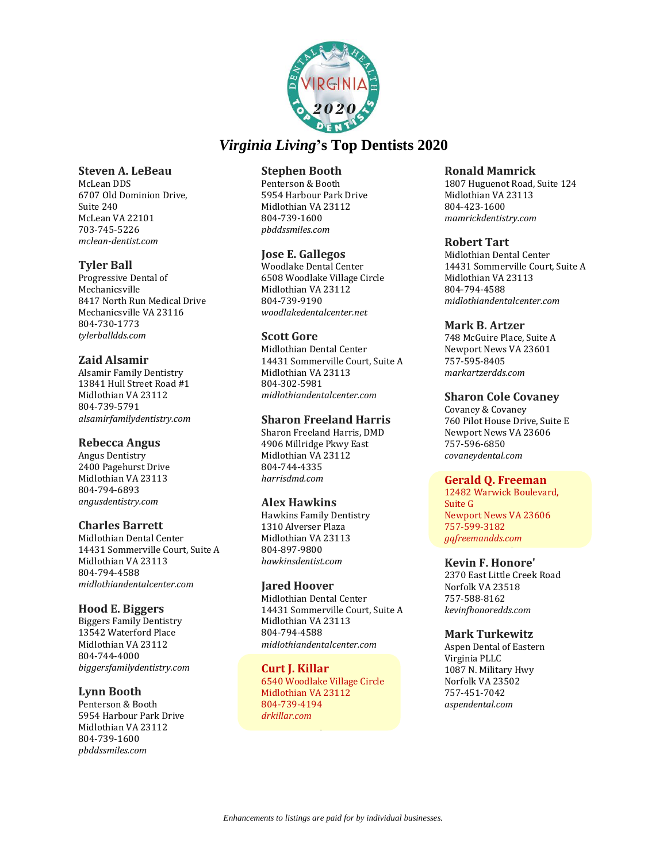

### **Steven A. LeBeau**

McLean DDS 6707 Old Dominion Drive, Suite 240 McLean VA 22101 703-745-5226 *mclean-dentist.com*

# **Tyler Ball**

Progressive Dental of Mechanicsville 8417 North Run Medical Drive Mechanicsville VA 23116 804-730-1773 *tylerballdds.com*

# **Zaid Alsamir**

Alsamir Family Dentistry 13841 Hull Street Road #1 Midlothian VA 23112 804-739-5791 *alsamirfamilydentistry.com*

# **Rebecca Angus**

Angus Dentistry 2400 Pagehurst Drive Midlothian VA 23113 804-794-6893 *angusdentistry.com*

# **Charles Barrett**

Midlothian Dental Center 14431 Sommerville Court, Suite A Midlothian VA 23113 804-794-4588 *midlothiandentalcenter.com*

### **Hood E. Biggers**

Biggers Family Dentistry 13542 Waterford Place Midlothian VA 23112 804-744-4000 *biggersfamilydentistry.com*

# **Lynn Booth**

Penterson & Booth 5954 Harbour Park Drive Midlothian VA 23112 804-739-1600 *pbddssmiles.com*

# **Stephen Booth**

Penterson & Booth 5954 Harbour Park Drive Midlothian VA 23112 804-739-1600 *pbddssmiles.com*

# **Jose E. Gallegos**

Woodlake Dental Center 6508 Woodlake Village Circle Midlothian VA 23112 804-739-9190 *woodlakedentalcenter.net*

### **Scott Gore**

Midlothian Dental Center 14431 Sommerville Court, Suite A Midlothian VA 23113 804-302-5981 *midlothiandentalcenter.com*

### **Sharon Freeland Harris**

Sharon Freeland Harris, DMD 4906 Millridge Pkwy East Midlothian VA 23112 804-744-4335 *harrisdmd.com*

# **Alex Hawkins**

Hawkins Family Dentistry 1310 Alverser Plaza Midlothian VA 23113 804-897-9800 *hawkinsdentist.com*

### **Jared Hoover**

Midlothian Dental Center 14431 Sommerville Court, Suite A Midlothian VA 23113 804-794-4588 *midlothiandentalcenter.com*

#### **Curt J. Killar**  6540 Woodlake Village Circle Midlothian VA 23112 804-739-4194 *drkillar.com*

### **Ronald Mamrick**

1807 Huguenot Road, Suite 124 Midlothian VA 23113 804-423-1600 *mamrickdentistry.com*

### **Robert Tart**

Midlothian Dental Center 14431 Sommerville Court, Suite A Midlothian VA 23113 804-794-4588 *midlothiandentalcenter.com*

### **Mark B. Artzer**

748 McGuire Place, Suite A Newport News VA 23601 757-595-8405 *markartzerdds.com*

# **Sharon Cole Covaney**

Covaney & Covaney 760 Pilot House Drive, Suite E Newport News VA 23606 757-596-6850 *covaneydental.com*

### **Gerald Q. Freeman**

12482 Warwick Boulevard, Suite G Newport News VA 23606 757-599-3182 *gqfreemandds.com*

### **Kevin F. Honore'**

2370 East Little Creek Road Norfolk VA 23518 757-588-8162 *kevinfhonoredds.com*

# **Mark Turkewitz**

Aspen Dental of Eastern Virginia PLLC 1087 N. Military Hwy Norfolk VA 23502 757-451-7042 *aspendental.com*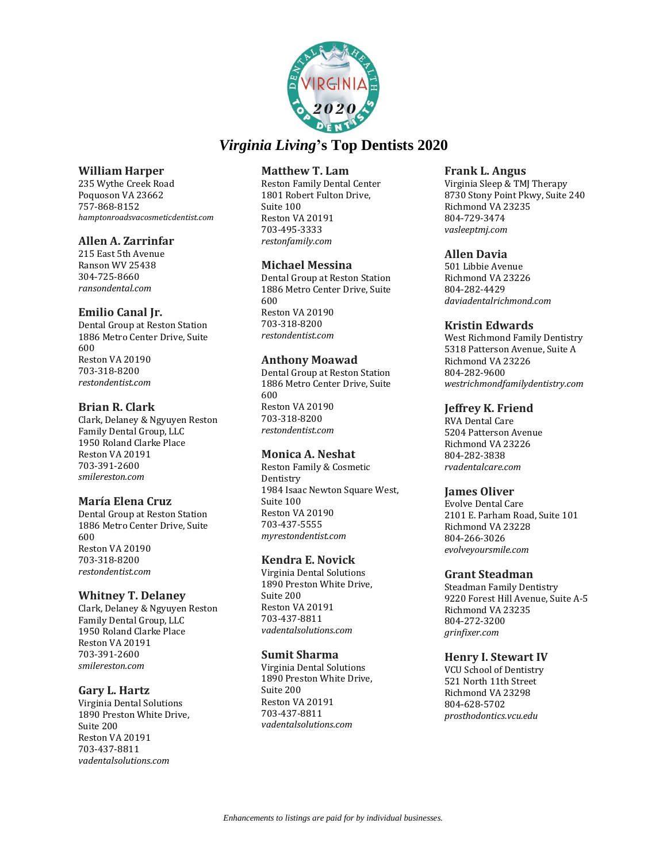

# **William Harper**

235 Wythe Creek Road Poquoson VA 23662 757-868-8152 *hamptonroadsvacosmeticdentist.com*

# **Allen A. Zarrinfar**

215 East 5th Avenue Ranson WV 25438 304-725-8660 *ransondental.com*

# **Emilio Canal Jr.**

Dental Group at Reston Station 1886 Metro Center Drive, Suite 600 Reston VA 20190 703-318-8200 *restondentist.com*

# **Brian R. Clark**

Clark, Delaney & Ngyuyen Reston Family Dental Group, LLC 1950 Roland Clarke Place Reston VA 20191 703-391-2600 *smilereston.com*

### **María Elena Cruz**

Dental Group at Reston Station 1886 Metro Center Drive, Suite 600 Reston VA 20190 703-318-8200 *restondentist.com*

# **Whitney T. Delaney**

Clark, Delaney & Ngyuyen Reston Family Dental Group, LLC 1950 Roland Clarke Place Reston VA 20191 703-391-2600 *smilereston.com*

### **Gary L. Hartz**

Virginia Dental Solutions 1890 Preston White Drive, Suite 200 Reston VA 20191 703-437-8811 *vadentalsolutions.com*

### **Matthew T. Lam**

Reston Family Dental Center 1801 Robert Fulton Drive, Suite 100 Reston VA 20191 703-495-3333 *restonfamily.com*

# **Michael Messina**

Dental Group at Reston Station 1886 Metro Center Drive, Suite 600 Reston VA 20190 703-318-8200 *restondentist.com*

### **Anthony Moawad**

Dental Group at Reston Station 1886 Metro Center Drive, Suite 600 Reston VA 20190 703-318-8200 *restondentist.com*

### **Monica A. Neshat**

Reston Family & Cosmetic Dentistry 1984 Isaac Newton Square West, Suite 100 Reston VA 20190 703-437-5555 *myrestondentist.com*

### **Kendra E. Novick**

Virginia Dental Solutions 1890 Preston White Drive, Suite 200 Reston VA 20191 703-437-8811 *vadentalsolutions.com*

### **Sumit Sharma**

Virginia Dental Solutions 1890 Preston White Drive, Suite 200 Reston VA 20191 703-437-8811 *vadentalsolutions.com*

### **Frank L. Angus**

Virginia Sleep & TMJ Therapy 8730 Stony Point Pkwy, Suite 240 Richmond VA 23235 804-729-3474 *vasleeptmj.com*

### **Allen Davia**

501 Libbie Avenue Richmond VA 23226 804-282-4429 *daviadentalrichmond.com*

### **Kristin Edwards**

West Richmond Family Dentistry 5318 Patterson Avenue, Suite A Richmond VA 23226 804-282-9600 *westrichmondfamilydentistry.com*

# **Jeffrey K. Friend**

RVA Dental Care 5204 Patterson Avenue Richmond VA 23226 804-282-3838 *rvadentalcare.com*

### **James Oliver**

Evolve Dental Care 2101 E. Parham Road, Suite 101 Richmond VA 23228 804-266-3026 *evolveyoursmile.com*

### **Grant Steadman**

Steadman Family Dentistry 9220 Forest Hill Avenue, Suite A-5 Richmond VA 23235 804-272-3200 *grinfixer.com*

### **Henry I. Stewart IV**

VCU School of Dentistry 521 North 11th Street Richmond VA 23298 804-628-5702 *prosthodontics.vcu.edu*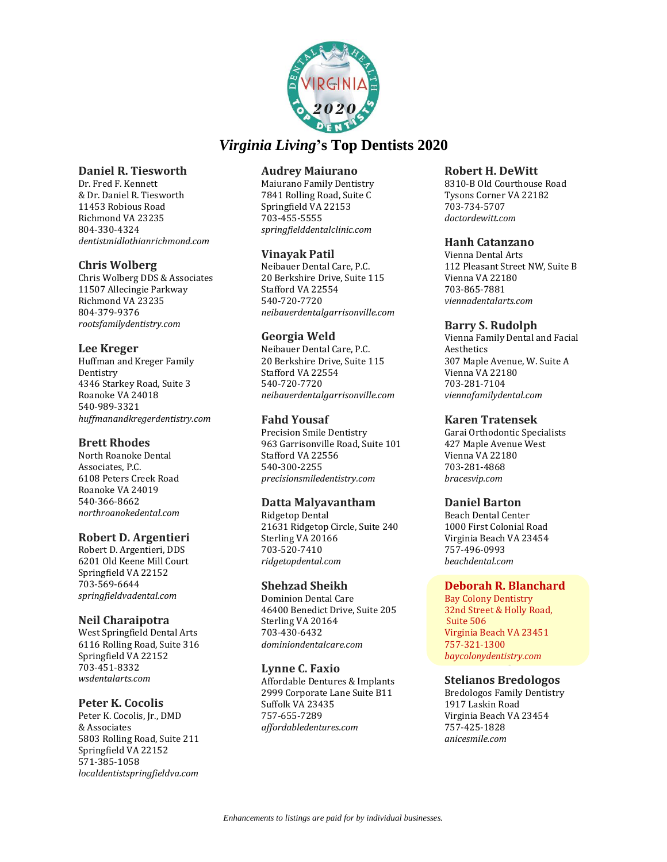

### **Daniel R. Tiesworth**

Dr. Fred F. Kennett & Dr. Daniel R. Tiesworth 11453 Robious Road Richmond VA 23235 804-330-4324 *dentistmidlothianrichmond.com*

# **Chris Wolberg**

Chris Wolberg DDS & Associates 11507 Allecingie Parkway Richmond VA 23235 804-379-9376 *rootsfamilydentistry.com*

### **Lee Kreger**

Huffman and Kreger Family Dentistry 4346 Starkey Road, Suite 3 Roanoke VA 24018 540-989-3321 *huffmanandkregerdentistry.com*

### **Brett Rhodes**

North Roanoke Dental Associates, P.C. 6108 Peters Creek Road Roanoke VA 24019 540-366-8662 *northroanokedental.com*

# **Robert D. Argentieri**

Robert D. Argentieri, DDS 6201 Old Keene Mill Court Springfield VA 22152 703-569-6644 *springfieldvadental.com*

### **Neil Charaipotra**

West Springfield Dental Arts 6116 Rolling Road, Suite 316 Springfield VA 22152 703-451-8332 *wsdentalarts.com*

### **Peter K. Cocolis**

Peter K. Cocolis, Jr., DMD & Associates 5803 Rolling Road, Suite 211 Springfield VA 22152 571-385-1058 *localdentistspringfieldva.com*

### **Audrey Maiurano**

Maiurano Family Dentistry 7841 Rolling Road, Suite C Springfield VA 22153 703-455-5555 *springfielddentalclinic.com* 

# **Vinayak Patil**

Neibauer Dental Care, P.C. 20 Berkshire Drive, Suite 115 Stafford VA 22554 540-720-7720 *neibauerdentalgarrisonville.com*

# **Georgia Weld**

Neibauer Dental Care, P.C. 20 Berkshire Drive, Suite 115 Stafford VA 22554 540-720-7720 *neibauerdentalgarrisonville.com*

# **Fahd Yousaf**

Precision Smile Dentistry 963 Garrisonville Road, Suite 101 Stafford VA 22556 540-300-2255 *precisionsmiledentistry.com*

# **Datta Malyavantham**

Ridgetop Dental 21631 Ridgetop Circle, Suite 240 Sterling VA 20166 703-520-7410 *ridgetopdental.com*

# **Shehzad Sheikh**

Dominion Dental Care 46400 Benedict Drive, Suite 205 Sterling VA 20164 703-430-6432 *dominiondentalcare.com*

### **Lynne C. Faxio**

Affordable Dentures & Implants 2999 Corporate Lane Suite B11 Suffolk VA 23435 757-655-7289 *affordabledentures.com*

### **Robert H. DeWitt**

8310-B Old Courthouse Road Tysons Corner VA 22182 703-734-5707 *doctordewitt.com*

### **Hanh Catanzano**

Vienna Dental Arts 112 Pleasant Street NW, Suite B Vienna VA 22180 703-865-7881 *viennadentalarts.com*

### **Barry S. Rudolph**

Vienna Family Dental and Facial Aesthetics 307 Maple Avenue, W. Suite A Vienna VA 22180 703-281-7104 *viennafamilydental.com*

### **Karen Tratensek**

Garai Orthodontic Specialists 427 Maple Avenue West Vienna VA 22180 703-281-4868 *bracesvip.com*

# **Daniel Barton**

Beach Dental Center 1000 First Colonial Road Virginia Beach VA 23454 757-496-0993 *beachdental.com*

### **Deborah R. Blanchard**

Bay Colony Dentistry 32nd Street & Holly Road, Suite 506 Virginia Beach VA 23451 757-321-1300 *baycolonydentistry.com*

### **Stelianos Bredologos**

Bredologos Family Dentistry 1917 Laskin Road Virginia Beach VA 23454 757-425-1828 *anicesmile.com*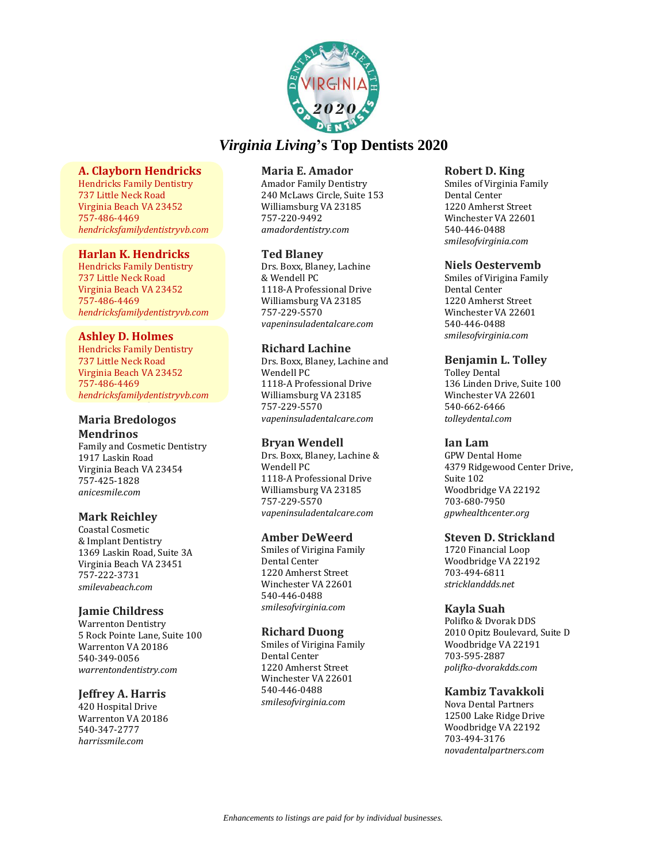

# **A. Clayborn Hendricks**

Hendricks Family Dentistry 737 Little Neck Road Virginia Beach VA 23452 757-486-4469 *hendricksfamilydentistryvb.com*

### **Harlan K. Hendricks**

Hendricks Family Dentistry 737 Little Neck Road Virginia Beach VA 23452 757-486-4469 *hendricksfamilydentistryvb.com*

### **Ashley D. Holmes**

Hendricks Family Dentistry 737 Little Neck Road Virginia Beach VA 23452 757-486-4469 *hendricksfamilydentistryvb.com*

# **Maria Bredologos Mendrinos**

Family and Cosmetic Dentistry 1917 Laskin Road Virginia Beach VA 23454 757-425-1828 *anicesmile.com*

# **Mark Reichley**

Coastal Cosmetic & Implant Dentistry 1369 Laskin Road, Suite 3A Virginia Beach VA 23451 757-222-3731 *smilevabeach.com*

# **Jamie Childress**

Warrenton Dentistry 5 Rock Pointe Lane, Suite 100 Warrenton VA 20186 540-349-0056 *warrentondentistry.com*

# **Jeffrey A. Harris**

420 Hospital Drive Warrenton VA 20186 540-347-2777 *harrissmile.com*

# **Maria E. Amador**

Amador Family Dentistry 240 McLaws Circle, Suite 153 Williamsburg VA 23185 757-220-9492 *amadordentistry.com*

# **Ted Blaney**

Drs. Boxx, Blaney, Lachine & Wendell PC 1118-A Professional Drive Williamsburg VA 23185 757-229-5570 *vapeninsuladentalcare.com*

# **Richard Lachine**

Drs. Boxx, Blaney, Lachine and Wendell PC 1118-A Professional Drive Williamsburg VA 23185 757-229-5570 *vapeninsuladentalcare.com*

# **Bryan Wendell**

Drs. Boxx, Blaney, Lachine & Wendell PC 1118-A Professional Drive Williamsburg VA 23185 757-229-5570 *vapeninsuladentalcare.com*

### **Amber DeWeerd**

Smiles of Virigina Family Dental Center 1220 Amherst Street Winchester VA 22601 540-446-0488 *smilesofvirginia.com*

# **Richard Duong**

Smiles of Virigina Family Dental Center 1220 Amherst Street Winchester VA 22601 540-446-0488 *smilesofvirginia.com*

### **Robert D. King**

Smiles of Virginia Family Dental Center 1220 Amherst Street Winchester VA 22601 540-446-0488 *smilesofvirginia.com*

# **Niels Oestervemb**

Smiles of Virigina Family Dental Center 1220 Amherst Street Winchester VA 22601 540-446-0488 *smilesofvirginia.com*

# **Benjamin L. Tolley**

Tolley Dental 136 Linden Drive, Suite 100 Winchester VA 22601 540-662-6466 *tolleydental.com*

# **Ian Lam**

GPW Dental Home 4379 Ridgewood Center Drive, Suite 102 Woodbridge VA 22192 703-680-7950 *gpwhealthcenter.org*

### **Steven D. Strickland**

1720 Financial Loop Woodbridge VA 22192 703-494-6811 *stricklanddds.net*

# **Kayla Suah**

Polifko & Dvorak DDS 2010 Opitz Boulevard, Suite D Woodbridge VA 22191 703-595-2887 *polifko-dvorakdds.com*

# **Kambiz Tavakkoli**

Nova Dental Partners 12500 Lake Ridge Drive Woodbridge VA 22192 703-494-3176 *novadentalpartners.com*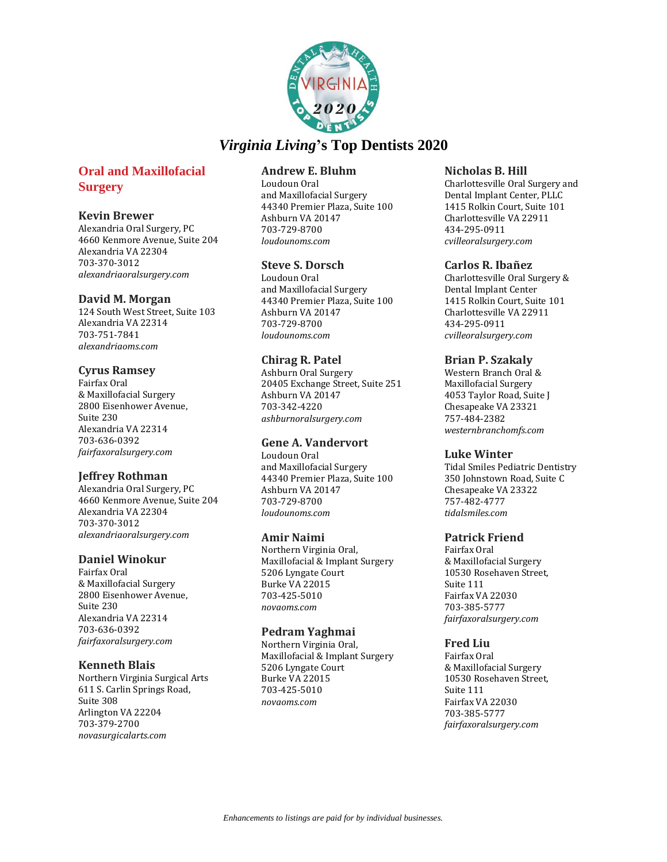

# **Oral and Maxillofacial Surgery**

### **Kevin Brewer**

Alexandria Oral Surgery, PC 4660 Kenmore Avenue, Suite 204 Alexandria VA 22304 703-370-3012 *alexandriaoralsurgery.com*

### **David M. Morgan**

124 South West Street, Suite 103 Alexandria VA 22314 703-751-7841 *alexandriaoms.com*

### **Cyrus Ramsey**

Fairfax Oral & Maxillofacial Surgery 2800 Eisenhower Avenue, Suite 230 Alexandria VA 22314 703-636-0392 *fairfaxoralsurgery.com*

# **Jeffrey Rothman**

Alexandria Oral Surgery, PC 4660 Kenmore Avenue, Suite 204 Alexandria VA 22304 703-370-3012 *alexandriaoralsurgery.com*

### **Daniel Winokur**

Fairfax Oral & Maxillofacial Surgery 2800 Eisenhower Avenue, Suite 230 Alexandria VA 22314 703-636-0392 *fairfaxoralsurgery.com*

# **Kenneth Blais**

Northern Virginia Surgical Arts 611 S. Carlin Springs Road, Suite 308 Arlington VA 22204 703-379-2700 *novasurgicalarts.com*

# **Andrew E. Bluhm**

Loudoun Oral and Maxillofacial Surgery 44340 Premier Plaza, Suite 100 Ashburn VA 20147 703-729-8700 *loudounoms.com*

# **Steve S. Dorsch**

Loudoun Oral and Maxillofacial Surgery 44340 Premier Plaza, Suite 100 Ashburn VA 20147 703-729-8700 *loudounoms.com*

# **Chirag R. Patel**

Ashburn Oral Surgery 20405 Exchange Street, Suite 251 Ashburn VA 20147 703-342-4220 *ashburnoralsurgery.com*

# **Gene A. Vandervort**

Loudoun Oral and Maxillofacial Surgery 44340 Premier Plaza, Suite 100 Ashburn VA 20147 703-729-8700 *loudounoms.com*

### **Amir Naimi**

Northern Virginia Oral, Maxillofacial & Implant Surgery 5206 Lyngate Court Burke VA 22015 703-425-5010 *novaoms.com*

# **Pedram Yaghmai**

Northern Virginia Oral, Maxillofacial & Implant Surgery 5206 Lyngate Court Burke VA 22015 703-425-5010 *novaoms.com*

### **Nicholas B. Hill**

Charlottesville Oral Surgery and Dental Implant Center, PLLC 1415 Rolkin Court, Suite 101 Charlottesville VA 22911 434-295-0911 *cvilleoralsurgery.com*

# **Carlos R. Ibañez**

Charlottesville Oral Surgery & Dental Implant Center 1415 Rolkin Court, Suite 101 Charlottesville VA 22911 434-295-0911 *cvilleoralsurgery.com*

### **Brian P. Szakaly**

Western Branch Oral & Maxillofacial Surgery 4053 Taylor Road, Suite J Chesapeake VA 23321 757-484-2382 *westernbranchomfs.com*

### **Luke Winter**

Tidal Smiles Pediatric Dentistry 350 Johnstown Road, Suite C Chesapeake VA 23322 757-482-4777 *tidalsmiles.com*

### **Patrick Friend**

Fairfax Oral & Maxillofacial Surgery 10530 Rosehaven Street, Suite 111 Fairfax VA 22030 703-385-5777 *fairfaxoralsurgery.com*

# **Fred Liu**

Fairfax Oral & Maxillofacial Surgery 10530 Rosehaven Street, Suite 111 Fairfax VA 22030 703-385-5777 *fairfaxoralsurgery.com*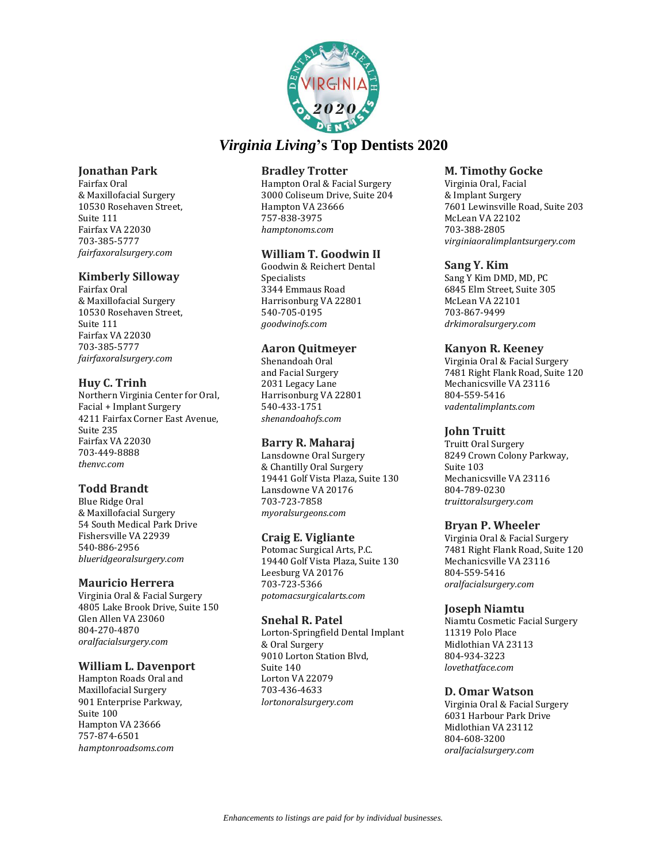

# **Jonathan Park**

Fairfax Oral & Maxillofacial Surgery 10530 Rosehaven Street, Suite 111 Fairfax VA 22030 703-385-5777 *fairfaxoralsurgery.com*

# **Kimberly Silloway**

Fairfax Oral & Maxillofacial Surgery 10530 Rosehaven Street, Suite 111 Fairfax VA 22030 703-385-5777 *fairfaxoralsurgery.com*

# **Huy C. Trinh**

Northern Virginia Center for Oral, Facial + Implant Surgery 4211 Fairfax Corner East Avenue, Suite 235 Fairfax VA 22030 703-449-8888 *thenvc.com*

# **Todd Brandt**

Blue Ridge Oral & Maxillofacial Surgery 54 South Medical Park Drive Fishersville VA 22939 540-886-2956 *blueridgeoralsurgery.com*

# **Mauricio Herrera**

Virginia Oral & Facial Surgery 4805 Lake Brook Drive, Suite 150 Glen Allen VA 23060 804-270-4870 *oralfacialsurgery.com*

### **William L. Davenport**

Hampton Roads Oral and Maxillofacial Surgery 901 Enterprise Parkway, Suite 100 Hampton VA 23666 757-874-6501 *hamptonroadsoms.com*

# **Bradley Trotter**

Hampton Oral & Facial Surgery 3000 Coliseum Drive, Suite 204 Hampton VA 23666 757-838-3975 *hamptonoms.com*

# **William T. Goodwin II**

Goodwin & Reichert Dental Specialists 3344 Emmaus Road Harrisonburg VA 22801 540-705-0195 *goodwinofs.com*

### **Aaron Quitmeyer**

Shenandoah Oral and Facial Surgery 2031 Legacy Lane Harrisonburg VA 22801 540-433-1751 *shenandoahofs.com*

### **Barry R. Maharaj**

Lansdowne Oral Surgery & Chantilly Oral Surgery 19441 Golf Vista Plaza, Suite 130 Lansdowne VA 20176 703-723-7858 *myoralsurgeons.com*

### **Craig E. Vigliante**

Potomac Surgical Arts, P.C. 19440 Golf Vista Plaza, Suite 130 Leesburg VA 20176 703-723-5366 *potomacsurgicalarts.com*

### **Snehal R. Patel**

Lorton-Springfield Dental Implant & Oral Surgery 9010 Lorton Station Blvd, Suite 140 Lorton VA 22079 703-436-4633 *lortonoralsurgery.com*

### **M. Timothy Gocke**

Virginia Oral, Facial & Implant Surgery 7601 Lewinsville Road, Suite 203 McLean VA 22102 703-388-2805 *virginiaoralimplantsurgery.com*

### **Sang Y. Kim**

Sang Y Kim DMD, MD, PC 6845 Elm Street, Suite 305 McLean VA 22101 703-867-9499 *drkimoralsurgery.com*

### **Kanyon R. Keeney**

Virginia Oral & Facial Surgery 7481 Right Flank Road, Suite 120 Mechanicsville VA 23116 804-559-5416 *vadentalimplants.com*

# **John Truitt**

Truitt Oral Surgery 8249 Crown Colony Parkway, Suite 103 Mechanicsville VA 23116 804-789-0230 *truittoralsurgery.com*

### **Bryan P. Wheeler**

Virginia Oral & Facial Surgery 7481 Right Flank Road, Suite 120 Mechanicsville VA 23116 804-559-5416 *oralfacialsurgery.com*

### **Joseph Niamtu**

Niamtu Cosmetic Facial Surgery 11319 Polo Place Midlothian VA 23113 804-934-3223 *lovethatface.com*

# **D. Omar Watson**

Virginia Oral & Facial Surgery 6031 Harbour Park Drive Midlothian VA 23112 804-608-3200 *oralfacialsurgery.com*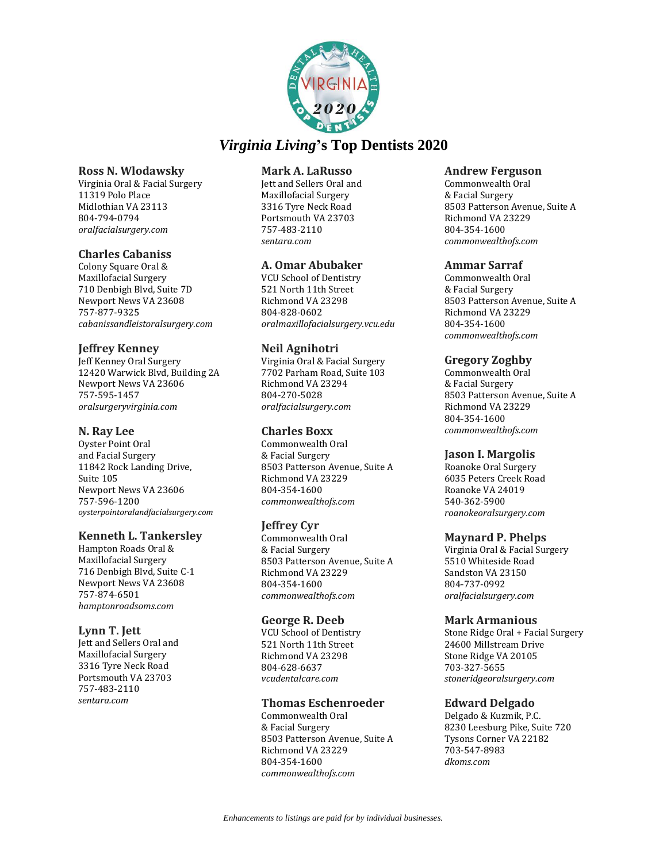

### **Ross N. Wlodawsky**

Virginia Oral & Facial Surgery 11319 Polo Place Midlothian VA 23113 804-794-0794 *oralfacialsurgery.com*

### **Charles Cabaniss**

Colony Square Oral & Maxillofacial Surgery 710 Denbigh Blvd, Suite 7D Newport News VA 23608 757-877-9325 *cabanissandleistoralsurgery.com*

# **Jeffrey Kenney**

Jeff Kenney Oral Surgery 12420 Warwick Blvd, Building 2A Newport News VA 23606 757-595-1457 *oralsurgeryvirginia.com*

### **N. Ray Lee**

Oyster Point Oral and Facial Surgery 11842 Rock Landing Drive, Suite 105 Newport News VA 23606 757-596-1200 *oysterpointoralandfacialsurgery.com*

### **Kenneth L. Tankersley**

Hampton Roads Oral & Maxillofacial Surgery 716 Denbigh Blvd, Suite C-1 Newport News VA 23608 757-874-6501 *hamptonroadsoms.com*

### **Lynn T. Jett**

Jett and Sellers Oral and Maxillofacial Surgery 3316 Tyre Neck Road Portsmouth VA 23703 757-483-2110 *sentara.com*

### **Mark A. LaRusso**

Jett and Sellers Oral and Maxillofacial Surgery 3316 Tyre Neck Road Portsmouth VA 23703 757-483-2110 *sentara.com*

# **A. Omar Abubaker**

VCU School of Dentistry 521 North 11th Street Richmond VA 23298 804-828-0602 *oralmaxillofacialsurgery.vcu.edu*

### **Neil Agnihotri**

Virginia Oral & Facial Surgery 7702 Parham Road, Suite 103 Richmond VA 23294 804-270-5028 *oralfacialsurgery.com*

# **Charles Boxx**

Commonwealth Oral & Facial Surgery 8503 Patterson Avenue, Suite A Richmond VA 23229 804-354-1600 *commonwealthofs.com*

# **Jeffrey Cyr**

Commonwealth Oral & Facial Surgery 8503 Patterson Avenue, Suite A Richmond VA 23229 804-354-1600 *commonwealthofs.com*

### **George R. Deeb**

VCU School of Dentistry 521 North 11th Street Richmond VA 23298 804-628-6637 *vcudentalcare.com*

### **Thomas Eschenroeder**

Commonwealth Oral & Facial Surgery 8503 Patterson Avenue, Suite A Richmond VA 23229 804-354-1600 *commonwealthofs.com*

#### **Andrew Ferguson**

Commonwealth Oral & Facial Surgery 8503 Patterson Avenue, Suite A Richmond VA 23229 804-354-1600 *commonwealthofs.com*

### **Ammar Sarraf**

Commonwealth Oral & Facial Surgery 8503 Patterson Avenue, Suite A Richmond VA 23229 804-354-1600 *commonwealthofs.com*

### **Gregory Zoghby**

Commonwealth Oral & Facial Surgery 8503 Patterson Avenue, Suite A Richmond VA 23229 804-354-1600 *commonwealthofs.com*

### **Jason I. Margolis**

Roanoke Oral Surgery 6035 Peters Creek Road Roanoke VA 24019 540-362-5900 *roanokeoralsurgery.com*

#### **Maynard P. Phelps**

Virginia Oral & Facial Surgery 5510 Whiteside Road Sandston VA 23150 804-737-0992 *oralfacialsurgery.com*

### **Mark Armanious**

Stone Ridge Oral + Facial Surgery 24600 Millstream Drive Stone Ridge VA 20105 703-327-5655 *stoneridgeoralsurgery.com*

### **Edward Delgado**

Delgado & Kuzmik, P.C. 8230 Leesburg Pike, Suite 720 Tysons Corner VA 22182 703-547-8983 *dkoms.com*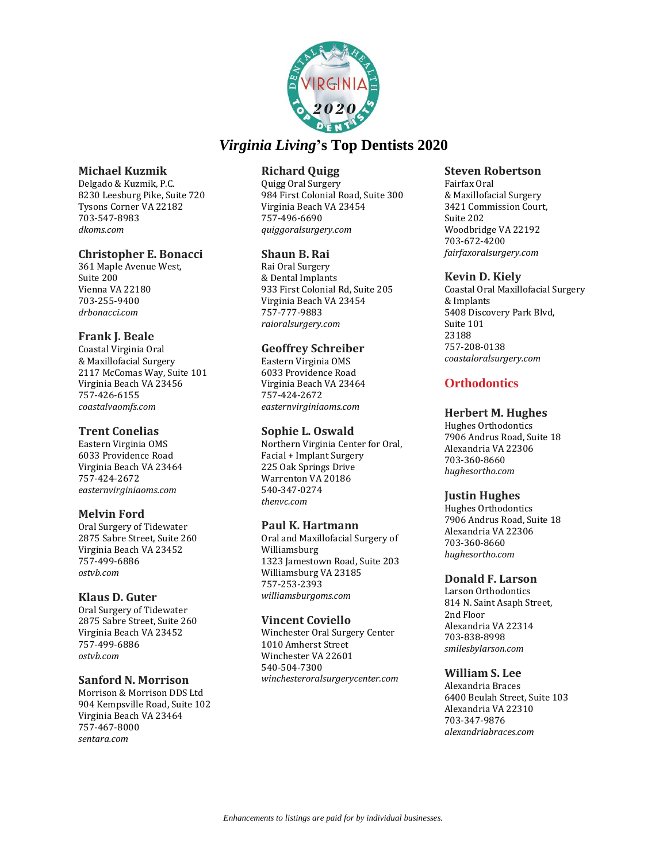

### **Michael Kuzmik**

Delgado & Kuzmik, P.C. 8230 Leesburg Pike, Suite 720 Tysons Corner VA 22182 703-547-8983 *dkoms.com*

### **Christopher E. Bonacci**

361 Maple Avenue West, Suite 200 Vienna VA 22180 703-255-9400 *drbonacci.com*

### **Frank J. Beale**

Coastal Virginia Oral & Maxillofacial Surgery 2117 McComas Way, Suite 101 Virginia Beach VA 23456 757-426-6155 *coastalvaomfs.com*

### **Trent Conelias**

Eastern Virginia OMS 6033 Providence Road Virginia Beach VA 23464 757-424-2672 *easternvirginiaoms.com*

# **Melvin Ford**

Oral Surgery of Tidewater 2875 Sabre Street, Suite 260 Virginia Beach VA 23452 757-499-6886 *ostvb.com*

### **Klaus D. Guter**

Oral Surgery of Tidewater 2875 Sabre Street, Suite 260 Virginia Beach VA 23452 757-499-6886 *ostvb.com*

### **Sanford N. Morrison**

Morrison & Morrison DDS Ltd 904 Kempsville Road, Suite 102 Virginia Beach VA 23464 757-467-8000 *sentara.com*

# **Richard Quigg**

Quigg Oral Surgery 984 First Colonial Road, Suite 300 Virginia Beach VA 23454 757-496-6690 *quiggoralsurgery.com*

# **Shaun B. Rai**

Rai Oral Surgery & Dental Implants 933 First Colonial Rd, Suite 205 Virginia Beach VA 23454 757-777-9883 *raioralsurgery.com*

### **Geoffrey Schreiber**

Eastern Virginia OMS 6033 Providence Road Virginia Beach VA 23464 757-424-2672 *easternvirginiaoms.com*

#### **Sophie L. Oswald**

Northern Virginia Center for Oral, Facial + Implant Surgery 225 Oak Springs Drive Warrenton VA 20186 540-347-0274 *thenvc.com*

### **Paul K. Hartmann**

Oral and Maxillofacial Surgery of Williamsburg 1323 Jamestown Road, Suite 203 Williamsburg VA 23185 757-253-2393 *williamsburgoms.com*

### **Vincent Coviello**

Winchester Oral Surgery Center 1010 Amherst Street Winchester VA 22601 540-504-7300 *winchesteroralsurgerycenter.com*

### **Steven Robertson**

Fairfax Oral & Maxillofacial Surgery 3421 Commission Court, Suite 202 Woodbridge VA 22192 703-672-4200 *fairfaxoralsurgery.com*

### **Kevin D. Kiely**

Coastal Oral Maxillofacial Surgery & Implants 5408 Discovery Park Blvd, Suite 101 23188 757-208-0138 *coastaloralsurgery.com*

# **Orthodontics**

# **Herbert M. Hughes**

Hughes Orthodontics 7906 Andrus Road, Suite 18 Alexandria VA 22306 703-360-8660 *hughesortho.com*

### **Justin Hughes**

Hughes Orthodontics 7906 Andrus Road, Suite 18 Alexandria VA 22306 703-360-8660 *hughesortho.com*

### **Donald F. Larson**

Larson Orthodontics 814 N. Saint Asaph Street, 2nd Floor Alexandria VA 22314 703-838-8998 *smilesbylarson.com*

### **William S. Lee**

Alexandria Braces 6400 Beulah Street, Suite 103 Alexandria VA 22310 703-347-9876 *alexandriabraces.com*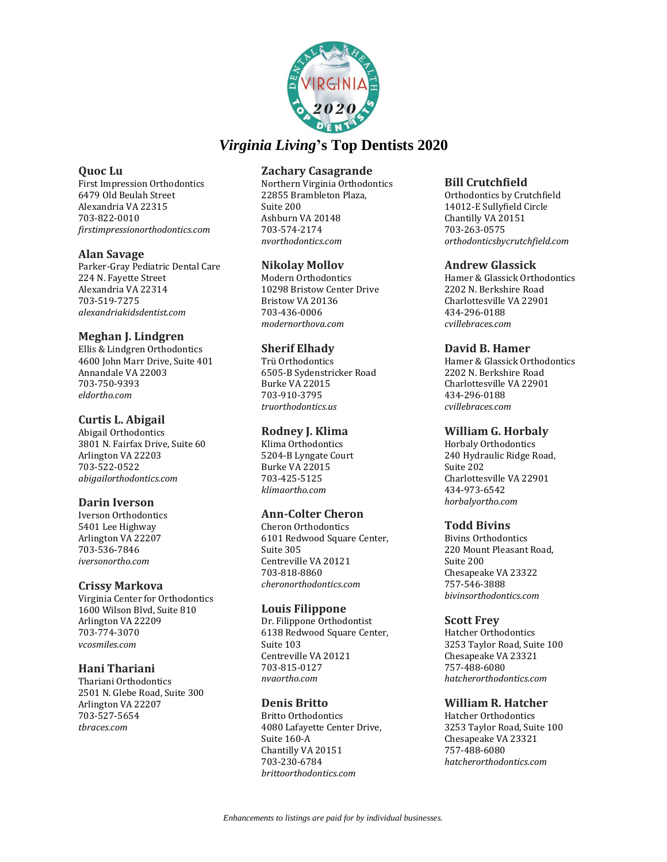

### **Quoc Lu**

First Impression Orthodontics 6479 Old Beulah Street Alexandria VA 22315 703-822-0010 *firstimpressionorthodontics.com*

### **Alan Savage**

Parker-Gray Pediatric Dental Care 224 N. Fayette Street Alexandria VA 22314 703-519-7275 *alexandriakidsdentist.com*

# **Meghan J. Lindgren**

Ellis & Lindgren Orthodontics 4600 John Marr Drive, Suite 401 Annandale VA 22003 703-750-9393 *eldortho.com*

# **Curtis L. Abigail**

Abigail Orthodontics 3801 N. Fairfax Drive, Suite 60 Arlington VA 22203 703-522-0522 *abigailorthodontics.com*

# **Darin Iverson**

Iverson Orthodontics 5401 Lee Highway Arlington VA 22207 703-536-7846 *iversonortho.com*

### **Crissy Markova**

Virginia Center for Orthodontics 1600 Wilson Blvd, Suite 810 Arlington VA 22209 703-774-3070 *vcosmiles.com*

### **Hani Thariani**

Thariani Orthodontics 2501 N. Glebe Road, Suite 300 Arlington VA 22207 703-527-5654 *tbraces.com*

# **Zachary Casagrande**

Northern Virginia Orthodontics 22855 Brambleton Plaza, Suite 200 Ashburn VA 20148 703-574-2174 *nvorthodontics.com*

# **Nikolay Mollov**

Modern Orthodontics 10298 Bristow Center Drive Bristow VA 20136 703-436-0006 *modernorthova.com*

# **Sherif Elhady**

Trü Orthodontics 6505-B Sydenstricker Road Burke VA 22015 703-910-3795 *truorthodontics.us*

# **Rodney J. Klima**

Klima Orthodontics 5204-B Lyngate Court Burke VA 22015 703-425-5125 *klimaortho.com*

# **Ann-Colter Cheron**

Cheron Orthodontics 6101 Redwood Square Center, Suite 305 Centreville VA 20121 703-818-8860 *cheronorthodontics.com*

### **Louis Filippone**

Dr. Filippone Orthodontist 6138 Redwood Square Center, Suite 103 Centreville VA 20121 703-815-0127 *nvaortho.com*

# **Denis Britto**

Britto Orthodontics 4080 Lafayette Center Drive, Suite 160-A Chantilly VA 20151 703-230-6784 *brittoorthodontics.com*

### **Bill Crutchfield**

Orthodontics by Crutchfield 14012-E Sullyfield Circle Chantilly VA 20151 703-263-0575 *orthodonticsbycrutchfield.com*

### **Andrew Glassick**

Hamer & Glassick Orthodontics 2202 N. Berkshire Road Charlottesville VA 22901 434-296-0188 *cvillebraces.com*

### **David B. Hamer**

Hamer & Glassick Orthodontics 2202 N. Berkshire Road Charlottesville VA 22901 434-296-0188 *cvillebraces.com*

### **William G. Horbaly**

Horbaly Orthodontics 240 Hydraulic Ridge Road, Suite 202 Charlottesville VA 22901 434-973-6542 *horbalyortho.com*

### **Todd Bivins**

Bivins Orthodontics 220 Mount Pleasant Road, Suite 200 Chesapeake VA 23322 757-546-3888 *bivinsorthodontics.com*

# **Scott Frey**

Hatcher Orthodontics 3253 Taylor Road, Suite 100 Chesapeake VA 23321 757-488-6080 *hatcherorthodontics.com*

### **William R. Hatcher**

Hatcher Orthodontics 3253 Taylor Road, Suite 100 Chesapeake VA 23321 757-488-6080 *hatcherorthodontics.com*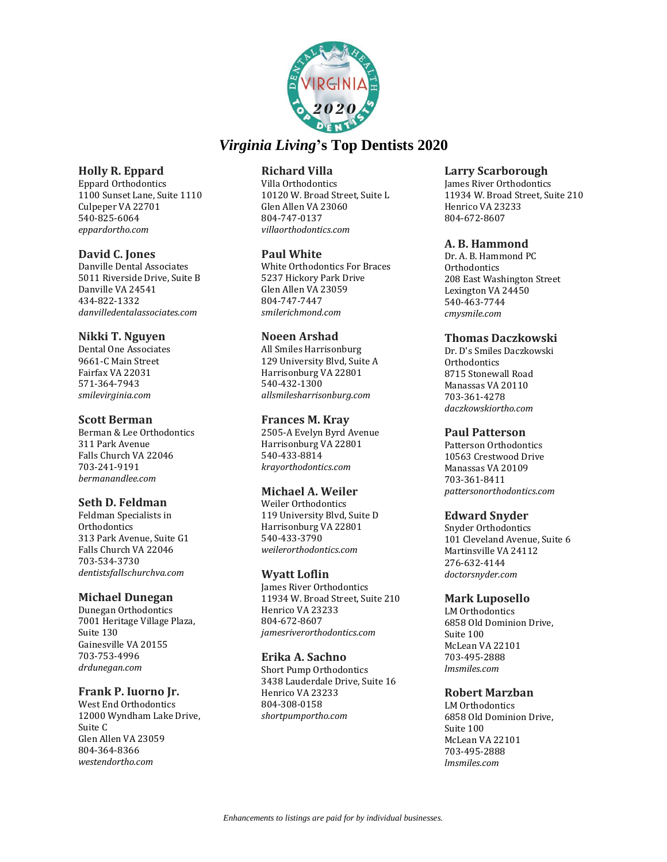

# **Holly R. Eppard**

Eppard Orthodontics 1100 Sunset Lane, Suite 1110 Culpeper VA 22701 540-825-6064 *eppardortho.com*

### **David C. Jones**

Danville Dental Associates 5011 Riverside Drive, Suite B Danville VA 24541 434-822-1332 *danvilledentalassociates.com*

### **Nikki T. Nguyen**

Dental One Associates 9661-C Main Street Fairfax VA 22031 571-364-7943 *smilevirginia.com*

### **Scott Berman**

Berman & Lee Orthodontics 311 Park Avenue Falls Church VA 22046 703-241-9191 *bermanandlee.com*

# **Seth D. Feldman**

Feldman Specialists in **Orthodontics** 313 Park Avenue, Suite G1 Falls Church VA 22046 703-534-3730 *dentistsfallschurchva.com*

### **Michael Dunegan**

Dunegan Orthodontics 7001 Heritage Village Plaza, Suite 130 Gainesville VA 20155 703-753-4996 *drdunegan.com*

# **Frank P. Iuorno Jr.**

West End Orthodontics 12000 Wyndham Lake Drive, Suite C Glen Allen VA 23059 804-364-8366 *westendortho.com*

# **Richard Villa**

Villa Orthodontics 10120 W. Broad Street, Suite L Glen Allen VA 23060 804-747-0137 *villaorthodontics.com*

### **Paul White**

White Orthodontics For Braces 5237 Hickory Park Drive Glen Allen VA 23059 804-747-7447 *smilerichmond.com*

### **Noeen Arshad**

All Smiles Harrisonburg 129 University Blvd, Suite A Harrisonburg VA 22801 540-432-1300 *allsmilesharrisonburg.com*

### **Frances M. Kray**

2505-A Evelyn Byrd Avenue Harrisonburg VA 22801 540-433-8814 *krayorthodontics.com*

# **Michael A. Weiler**

Weiler Orthodontics 119 University Blvd, Suite D Harrisonburg VA 22801 540-433-3790 *weilerorthodontics.com*

### **Wyatt Loflin**

James River Orthodontics 11934 W. Broad Street, Suite 210 Henrico VA 23233 804-672-8607 *jamesriverorthodontics.com*

### **Erika A. Sachno**

Short Pump Orthodontics 3438 Lauderdale Drive, Suite 16 Henrico VA 23233 804-308-0158 *shortpumportho.com*

### **Larry Scarborough**

James River Orthodontics 11934 W. Broad Street, Suite 210 Henrico VA 23233 804-672-8607

### **A. B. Hammond**

Dr. A. B. Hammond PC **Orthodontics** 208 East Washington Street Lexington VA 24450 540-463-7744 *cmysmile.com*

### **Thomas Daczkowski**

Dr. D's Smiles Daczkowski **Orthodontics** 8715 Stonewall Road Manassas VA 20110 703-361-4278 *daczkowskiortho.com*

### **Paul Patterson**

Patterson Orthodontics 10563 Crestwood Drive Manassas VA 20109 703-361-8411 *pattersonorthodontics.com*

### **Edward Snyder**

Snyder Orthodontics 101 Cleveland Avenue, Suite 6 Martinsville VA 24112 276-632-4144 *doctorsnyder.com*

### **Mark Luposello**

LM Orthodontics 6858 Old Dominion Drive, Suite 100 McLean VA 22101 703-495-2888 *lmsmiles.com*

# **Robert Marzban**

LM Orthodontics 6858 Old Dominion Drive, Suite 100 McLean VA 22101 703-495-2888 *lmsmiles.com*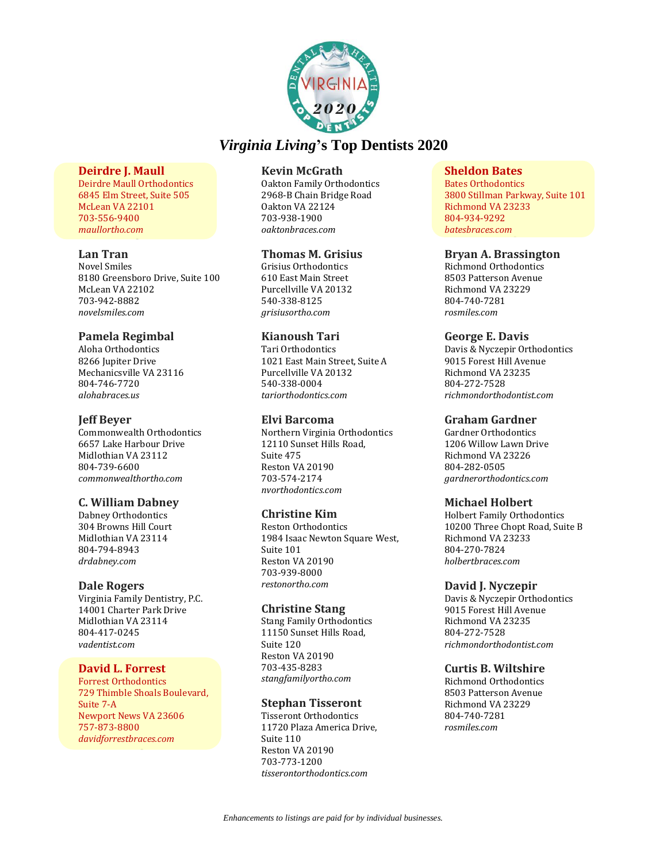

### **Deirdre J. Maull**

Deirdre Maull Orthodontics 6845 Elm Street, Suite 505 McLean VA 22101 703-556-9400 *maullortho.com*

### **Lan Tran**

Novel Smiles 8180 Greensboro Drive, Suite 100 McLean VA 22102 703-942-8882 *novelsmiles.com*

### **Pamela Regimbal**

Aloha Orthodontics 8266 Jupiter Drive Mechanicsville VA 23116 804-746-7720 *alohabraces.us*

### **Jeff Beyer**

Commonwealth Orthodontics 6657 Lake Harbour Drive Midlothian VA 23112 804-739-6600 *commonwealthortho.com*

# **C. William Dabney**

Dabney Orthodontics 304 Browns Hill Court Midlothian VA 23114 804-794-8943 *drdabney.com*

### **Dale Rogers**

Virginia Family Dentistry, P.C. 14001 Charter Park Drive Midlothian VA 23114 804-417-0245 *vadentist.com*

### **David L. Forrest**

Forrest Orthodontics 729 Thimble Shoals Boulevard, Suite 7-A Newport News VA 23606 757-873-8800 *davidforrestbraces.com*

### **Kevin McGrath**

Oakton Family Orthodontics 2968-B Chain Bridge Road Oakton VA 22124 703-938-1900 *oaktonbraces.com*

### **Thomas M. Grisius**

Grisius Orthodontics 610 East Main Street Purcellville VA 20132 540-338-8125 *grisiusortho.com*

### **Kianoush Tari**

Tari Orthodontics 1021 East Main Street, Suite A Purcellville VA 20132 540-338-0004 *tariorthodontics.com*

### **Elvi Barcoma**

Northern Virginia Orthodontics 12110 Sunset Hills Road, Suite 475 Reston VA 20190 703-574-2174 *nvorthodontics.com*

### **Christine Kim**

Reston Orthodontics 1984 Isaac Newton Square West, Suite 101 Reston VA 20190 703-939-8000 *restonortho.com*

### **Christine Stang**

Stang Family Orthodontics 11150 Sunset Hills Road, Suite 120 Reston VA 20190 703-435-8283 *stangfamilyortho.com*

### **Stephan Tisseront**

Tisseront Orthodontics 11720 Plaza America Drive, Suite 110 Reston VA 20190 703-773-1200 *tisserontorthodontics.com*

### **Sheldon Bates**

Bates Orthodontics 3800 Stillman Parkway, Suite 101 Richmond VA 23233 804-934-9292 *batesbraces.com*

#### **Bryan A. Brassington**

Richmond Orthodontics 8503 Patterson Avenue Richmond VA 23229 804-740-7281 *rosmiles.com*

#### **George E. Davis**

Davis & Nyczepir Orthodontics 9015 Forest Hill Avenue Richmond VA 23235 804-272-7528 *richmondorthodontist.com*

### **Graham Gardner**

Gardner Orthodontics 1206 Willow Lawn Drive Richmond VA 23226 804-282-0505 *gardnerorthodontics.com*

### **Michael Holbert**

Holbert Family Orthodontics 10200 Three Chopt Road, Suite B Richmond VA 23233 804-270-7824 *holbertbraces.com*

### **David J. Nyczepir**

Davis & Nyczepir Orthodontics 9015 Forest Hill Avenue Richmond VA 23235 804-272-7528 *richmondorthodontist.com*

### **Curtis B. Wiltshire**

Richmond Orthodontics 8503 Patterson Avenue Richmond VA 23229 804-740-7281 *rosmiles.com*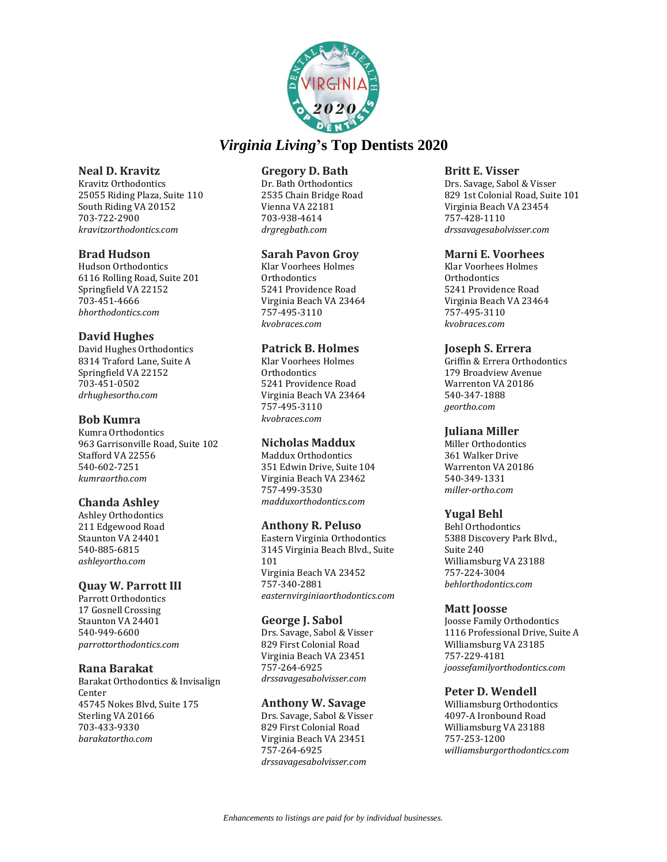![](_page_19_Picture_0.jpeg)

### **Neal D. Kravitz**

Kravitz Orthodontics 25055 Riding Plaza, Suite 110 South Riding VA 20152 703-722-2900 *kravitzorthodontics.com*

### **Brad Hudson**

Hudson Orthodontics 6116 Rolling Road, Suite 201 Springfield VA 22152 703-451-4666 *bhorthodontics.com*

### **David Hughes**

David Hughes Orthodontics 8314 Traford Lane, Suite A Springfield VA 22152 703-451-0502 *drhughesortho.com*

### **Bob Kumra**

Kumra Orthodontics 963 Garrisonville Road, Suite 102 Stafford VA 22556 540-602-7251 *kumraortho.com*

# **Chanda Ashley**

Ashley Orthodontics 211 Edgewood Road Staunton VA 24401 540-885-6815 *ashleyortho.com*

# **Quay W. Parrott III**

Parrott Orthodontics 17 Gosnell Crossing Staunton VA 24401 540-949-6600 *parrottorthodontics.com*

### **Rana Barakat**

Barakat Orthodontics & Invisalign Center 45745 Nokes Blvd, Suite 175 Sterling VA 20166 703-433-9330 *barakatortho.com*

### **Gregory D. Bath**

Dr. Bath Orthodontics 2535 Chain Bridge Road Vienna VA 22181 703-938-4614 *drgregbath.com*

### **Sarah Pavon Groy**

Klar Voorhees Holmes **Orthodontics** 5241 Providence Road Virginia Beach VA 23464 757-495-3110 *kvobraces.com*

### **Patrick B. Holmes**

Klar Voorhees Holmes Orthodontics 5241 Providence Road Virginia Beach VA 23464 757-495-3110 *kvobraces.com*

### **Nicholas Maddux**

Maddux Orthodontics 351 Edwin Drive, Suite 104 Virginia Beach VA 23462 757-499-3530 *madduxorthodontics.com*

### **Anthony R. Peluso**

Eastern Virginia Orthodontics 3145 Virginia Beach Blvd., Suite 101 Virginia Beach VA 23452 757-340-2881 *easternvirginiaorthodontics.com*

### **George J. Sabol**

Drs. Savage, Sabol & Visser 829 First Colonial Road Virginia Beach VA 23451 757-264-6925 *drssavagesabolvisser.com*

### **Anthony W. Savage**

Drs. Savage, Sabol & Visser 829 First Colonial Road Virginia Beach VA 23451 757-264-6925 *drssavagesabolvisser.com*

### **Britt E. Visser**

Drs. Savage, Sabol & Visser 829 1st Colonial Road, Suite 101 Virginia Beach VA 23454 757-428-1110 *drssavagesabolvisser.com*

### **Marni E. Voorhees**

Klar Voorhees Holmes **Orthodontics** 5241 Providence Road Virginia Beach VA 23464 757-495-3110 *kvobraces.com*

### **Joseph S. Errera**

Griffin & Errera Orthodontics 179 Broadview Avenue Warrenton VA 20186 540-347-1888 *geortho.com*

### **Juliana Miller**

Miller Orthodontics 361 Walker Drive Warrenton VA 20186 540-349-1331 *miller-ortho.com*

# **Yugal Behl**

Behl Orthodontics 5388 Discovery Park Blvd., Suite 240 Williamsburg VA 23188 757-224-3004 *behlorthodontics.com*

### **Matt Joosse**

Joosse Family Orthodontics 1116 Professional Drive, Suite A Williamsburg VA 23185 757-229-4181 *joossefamilyorthodontics.com*

# **Peter D. Wendell**

Williamsburg Orthodontics 4097-A Ironbound Road Williamsburg VA 23188 757-253-1200 *williamsburgorthodontics.com*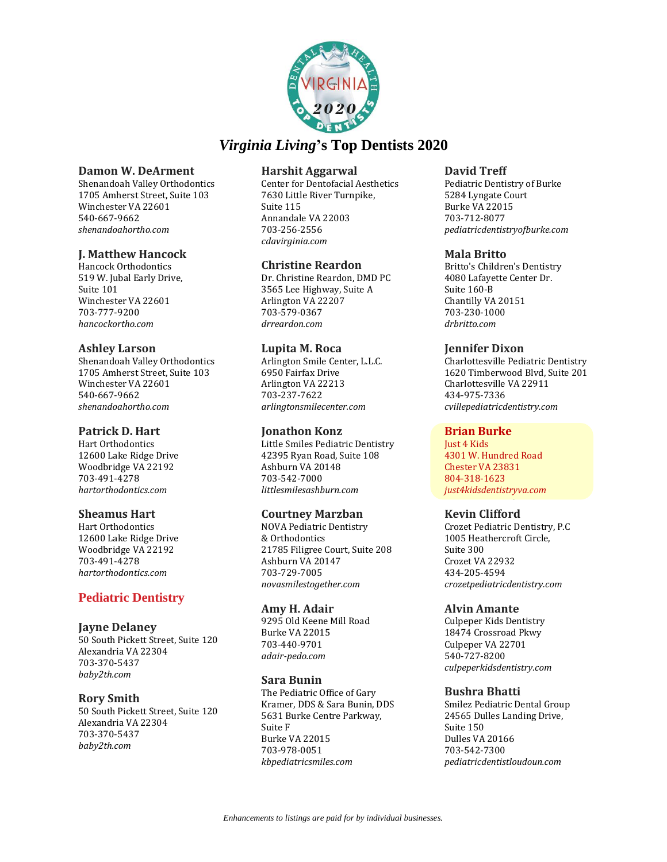![](_page_20_Picture_0.jpeg)

### **Damon W. DeArment**

Shenandoah Valley Orthodontics 1705 Amherst Street, Suite 103 Winchester VA 22601 540-667-9662 *shenandoahortho.com*

### **J. Matthew Hancock**

Hancock Orthodontics 519 W. Jubal Early Drive, Suite 101 Winchester VA 22601 703-777-9200 *hancockortho.com*

### **Ashley Larson**

Shenandoah Valley Orthodontics 1705 Amherst Street, Suite 103 Winchester VA 22601 540-667-9662 *shenandoahortho.com*

### **Patrick D. Hart**

Hart Orthodontics 12600 Lake Ridge Drive Woodbridge VA 22192 703-491-4278 *hartorthodontics.com*

# **Sheamus Hart**

Hart Orthodontics 12600 Lake Ridge Drive Woodbridge VA 22192 703-491-4278 *hartorthodontics.com*

# **Pediatric Dentistry**

### **Jayne Delaney**

50 South Pickett Street, Suite 120 Alexandria VA 22304 703-370-5437 *baby2th.com*

# **Rory Smith**

50 South Pickett Street, Suite 120 Alexandria VA 22304 703-370-5437 *baby2th.com*

### **Harshit Aggarwal**

Center for Dentofacial Aesthetics 7630 Little River Turnpike, Suite 115 Annandale VA 22003 703-256-2556 *cdavirginia.com*

# **Christine Reardon**

Dr. Christine Reardon, DMD PC 3565 Lee Highway, Suite A Arlington VA 22207 703-579-0367 *drreardon.com*

### **Lupita M. Roca**

Arlington Smile Center, L.L.C. 6950 Fairfax Drive Arlington VA 22213 703-237-7622 *arlingtonsmilecenter.com*

### **Jonathon Konz**

Little Smiles Pediatric Dentistry 42395 Ryan Road, Suite 108 Ashburn VA 20148 703-542-7000 *littlesmilesashburn.com*

# **Courtney Marzban**

NOVA Pediatric Dentistry & Orthodontics 21785 Filigree Court, Suite 208 Ashburn VA 20147 703-729-7005 *novasmilestogether.com*

### **Amy H. Adair**

9295 Old Keene Mill Road Burke VA 22015 703-440-9701 *adair-pedo.com*

### **Sara Bunin**

The Pediatric Office of Gary Kramer, DDS & Sara Bunin, DDS 5631 Burke Centre Parkway, Suite F Burke VA 22015 703-978-0051 *kbpediatricsmiles.com*

### **David Treff**

Pediatric Dentistry of Burke 5284 Lyngate Court Burke VA 22015 703-712-8077 *pediatricdentistryofburke.com*

### **Mala Britto**

Britto's Children's Dentistry 4080 Lafayette Center Dr. Suite 160-B Chantilly VA 20151 703-230-1000 *drbritto.com*

### **Jennifer Dixon**

Charlottesville Pediatric Dentistry 1620 Timberwood Blvd, Suite 201 Charlottesville VA 22911 434-975-7336 *cvillepediatricdentistry.com*

### **Brian Burke**

Just 4 Kids 4301 W. Hundred Road Chester VA 23831 804-318-1623 *just4kidsdentistryva.com*

# **Kevin Clifford**

Crozet Pediatric Dentistry, P.C 1005 Heathercroft Circle, Suite 300 Crozet VA 22932 434-205-4594 *crozetpediatricdentistry.com*

### **Alvin Amante**

Culpeper Kids Dentistry 18474 Crossroad Pkwy Culpeper VA 22701 540-727-8200 *culpeperkidsdentistry.com*

# **Bushra Bhatti**

Smilez Pediatric Dental Group 24565 Dulles Landing Drive, Suite 150 Dulles VA 20166 703-542-7300 *pediatricdentistloudoun.com*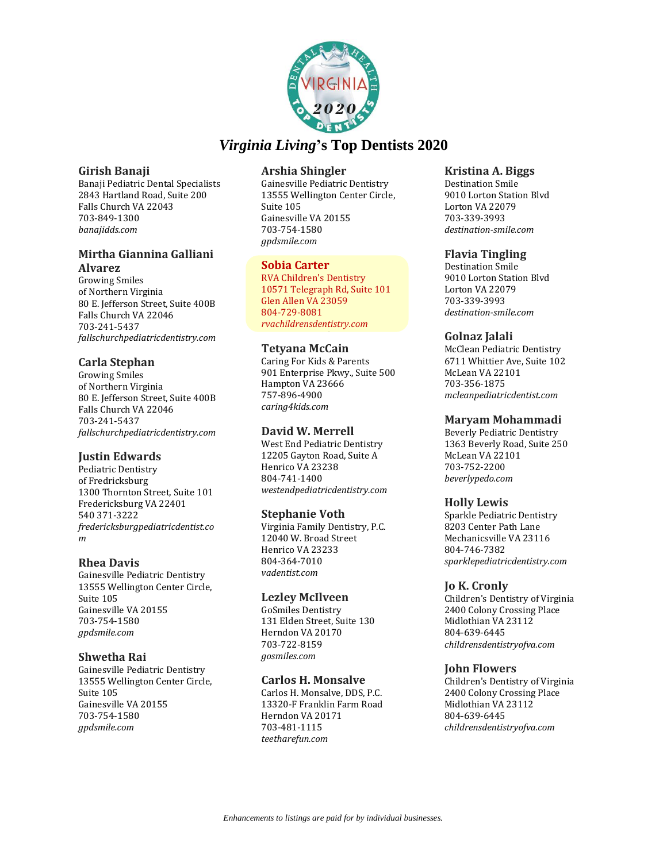![](_page_21_Picture_0.jpeg)

### **Girish Banaji**

Banaji Pediatric Dental Specialists 2843 Hartland Road, Suite 200 Falls Church VA 22043 703-849-1300 *banajidds.com*

# **Mirtha Giannina Galliani Alvarez**

Growing Smiles of Northern Virginia 80 E. Jefferson Street, Suite 400B Falls Church VA 22046 703-241-5437 *fallschurchpediatricdentistry.com*

# **Carla Stephan**

Growing Smiles of Northern Virginia 80 E. Jefferson Street, Suite 400B Falls Church VA 22046 703-241-5437 *fallschurchpediatricdentistry.com*

# **Justin Edwards**

Pediatric Dentistry of Fredricksburg 1300 Thornton Street, Suite 101 Fredericksburg VA 22401 540 371-3222 *fredericksburgpediatricdentist.co m*

# **Rhea Davis**

Gainesville Pediatric Dentistry 13555 Wellington Center Circle, Suite 105 Gainesville VA 20155 703-754-1580 *gpdsmile.com*

# **Shwetha Rai**

Gainesville Pediatric Dentistry 13555 Wellington Center Circle, Suite 105 Gainesville VA 20155 703-754-1580 *gpdsmile.com*

# **Arshia Shingler**

Gainesville Pediatric Dentistry 13555 Wellington Center Circle, Suite 105 Gainesville VA 20155 703-754-1580 *gpdsmile.com*

# **Sobia Carter**

RVA Children's Dentistry 10571 Telegraph Rd, Suite 101 Glen Allen VA 23059 804-729-8081 *rvachildrensdentistry.com*

# **Tetyana McCain**

Caring For Kids & Parents 901 Enterprise Pkwy., Suite 500 Hampton VA 23666 757-896-4900 *caring4kids.com*

# **David W. Merrell**

West End Pediatric Dentistry 12205 Gayton Road, Suite A Henrico VA 23238 804-741-1400 *westendpediatricdentistry.com*

# **Stephanie Voth**

Virginia Family Dentistry, P.C. 12040 W. Broad Street Henrico VA 23233 804-364-7010 *vadentist.com*

# **Lezley McIlveen**

GoSmiles Dentistry 131 Elden Street, Suite 130 Herndon VA 20170 703-722-8159 *gosmiles.com*

# **Carlos H. Monsalve**

Carlos H. Monsalve, DDS, P.C. 13320-F Franklin Farm Road Herndon VA 20171 703-481-1115 *teetharefun.com*

### **Kristina A. Biggs**

Destination Smile 9010 Lorton Station Blvd Lorton VA 22079 703-339-3993 *destination-smile.com*

# **Flavia Tingling**

Destination Smile 9010 Lorton Station Blvd Lorton VA 22079 703-339-3993 *destination-smile.com*

# **Golnaz Jalali**

McClean Pediatric Dentistry 6711 Whittier Ave, Suite 102 McLean VA 22101 703-356-1875 *mcleanpediatricdentist.com*

# **Maryam Mohammadi**

Beverly Pediatric Dentistry 1363 Beverly Road, Suite 250 McLean VA 22101 703-752-2200 *beverlypedo.com*

# **Holly Lewis**

Sparkle Pediatric Dentistry 8203 Center Path Lane Mechanicsville VA 23116 804-746-7382 *sparklepediatricdentistry.com*

# **Jo K. Cronly**

Children's Dentistry of Virginia 2400 Colony Crossing Place Midlothian VA 23112 804-639-6445 *childrensdentistryofva.com*

# **John Flowers**

Children's Dentistry of Virginia 2400 Colony Crossing Place Midlothian VA 23112 804-639-6445 *childrensdentistryofva.com*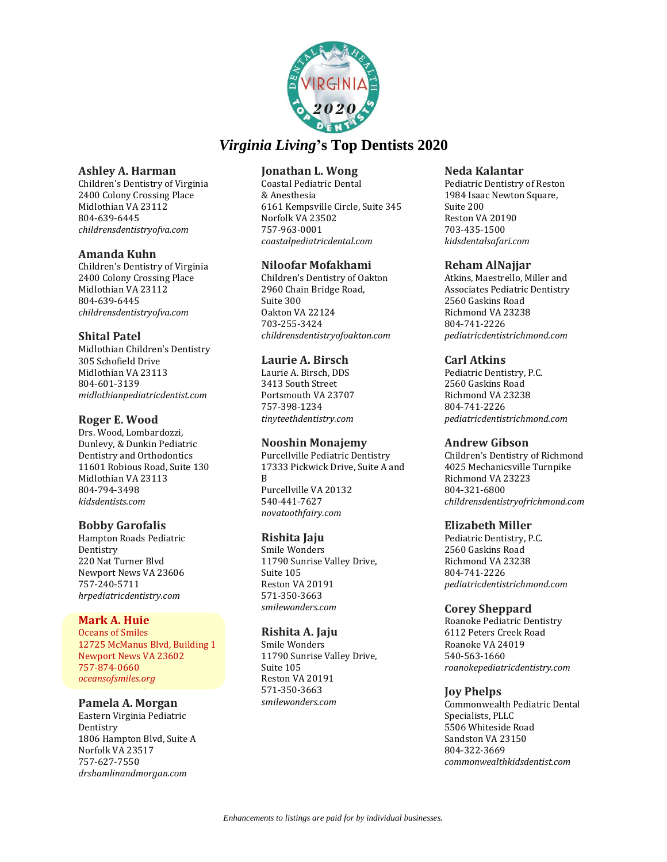![](_page_22_Picture_0.jpeg)

### **Ashley A. Harman**

Children's Dentistry of Virginia 2400 Colony Crossing Place Midlothian VA 23112 804-639-6445 *childrensdentistryofva.com*

### **Amanda Kuhn**

Children's Dentistry of Virginia 2400 Colony Crossing Place Midlothian VA 23112 804-639-6445 *childrensdentistryofva.com*

# **Shital Patel**

Midlothian Children's Dentistry 305 Schofield Drive Midlothian VA 23113 804-601-3139 *midlothianpediatricdentist.com*

# **Roger E. Wood**

Drs. Wood, Lombardozzi, Dunlevy, & Dunkin Pediatric Dentistry and Orthodontics 11601 Robious Road, Suite 130 Midlothian VA 23113 804-794-3498 *kidsdentists.com*

# **Bobby Garofalis**

Hampton Roads Pediatric Dentistry 220 Nat Turner Blvd Newport News VA 23606 757-240-5711 *hrpediatricdentistry.com*

# **Mark A. Huie**

Oceans of Smiles 12725 McManus Blvd, Building 1 Newport News VA 23602 757-874-0660 *oceansofsmiles.org*

# **Pamela A. Morgan**

Eastern Virginia Pediatric Dentistry 1806 Hampton Blvd, Suite A Norfolk VA 23517 757-627-7550 *drshamlinandmorgan.com*

# **Jonathan L. Wong**

Coastal Pediatric Dental & Anesthesia 6161 Kempsville Circle, Suite 345 Norfolk VA 23502 757-963-0001 *coastalpediatricdental.com*

# **Niloofar Mofakhami**

Children's Dentistry of Oakton 2960 Chain Bridge Road, Suite 300 Oakton VA 22124 703-255-3424 *childrensdentistryofoakton.com*

# **Laurie A. Birsch**

Laurie A. Birsch, DDS 3413 South Street Portsmouth VA 23707 757-398-1234 *tinyteethdentistry.com*

# **Nooshin Monajemy**

Purcellville Pediatric Dentistry 17333 Pickwick Drive, Suite A and B Purcellville VA 20132 540-441-7627 *novatoothfairy.com*

# **Rishita Jaju**

Smile Wonders 11790 Sunrise Valley Drive, Suite 105 Reston VA 20191 571-350-3663 *smilewonders.com*

# **Rishita A. Jaju**

Smile Wonders 11790 Sunrise Valley Drive, Suite 105 Reston VA 20191 571-350-3663 *smilewonders.com*

### **Neda Kalantar**

Pediatric Dentistry of Reston 1984 Isaac Newton Square, Suite 200 Reston VA 20190 703-435-1500 *kidsdentalsafari.com*

# **Reham AlNajjar**

Atkins, Maestrello, Miller and Associates Pediatric Dentistry 2560 Gaskins Road Richmond VA 23238 804-741-2226 *pediatricdentistrichmond.com*

# **Carl Atkins**

Pediatric Dentistry, P.C. 2560 Gaskins Road Richmond VA 23238 804-741-2226 *pediatricdentistrichmond.com*

# **Andrew Gibson**

Children's Dentistry of Richmond 4025 Mechanicsville Turnpike Richmond VA 23223 804-321-6800 *childrensdentistryofrichmond.com*

# **Elizabeth Miller**

Pediatric Dentistry, P.C. 2560 Gaskins Road Richmond VA 23238 804-741-2226 *pediatricdentistrichmond.com*

# **Corey Sheppard**

Roanoke Pediatric Dentistry 6112 Peters Creek Road Roanoke VA 24019 540-563-1660 *roanokepediatricdentistry.com*

# **Joy Phelps**

Commonwealth Pediatric Dental Specialists, PLLC 5506 Whiteside Road Sandston VA 23150 804-322-3669 *commonwealthkidsdentist.com*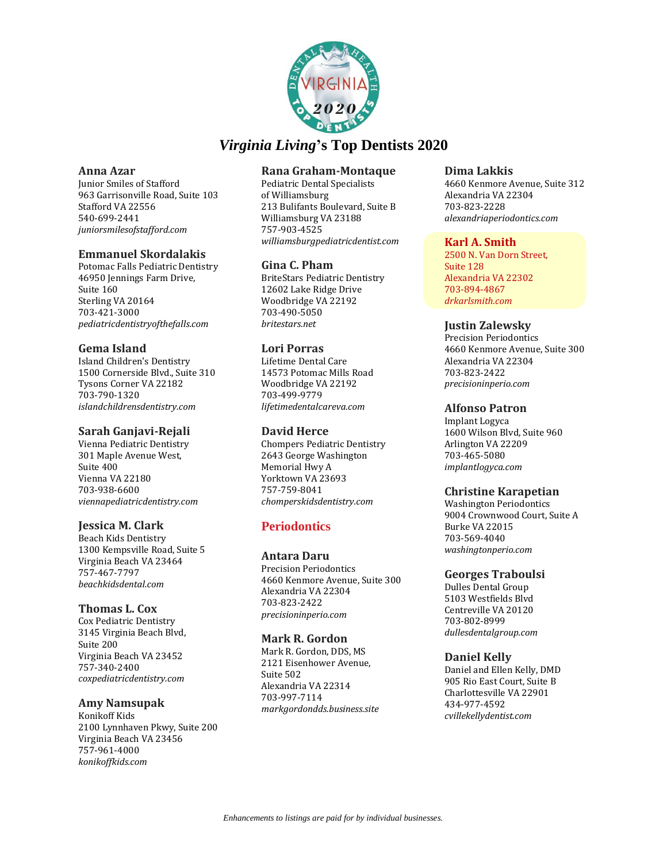![](_page_23_Picture_0.jpeg)

### **Anna Azar**

Junior Smiles of Stafford 963 Garrisonville Road, Suite 103 Stafford VA 22556 540-699-2441 *juniorsmilesofstafford.com*

### **Emmanuel Skordalakis**

Potomac Falls Pediatric Dentistry 46950 Jennings Farm Drive, Suite 160 Sterling VA 20164 703-421-3000 *pediatricdentistryofthefalls.com*

# **Gema Island**

Island Children's Dentistry 1500 Cornerside Blvd., Suite 310 Tysons Corner VA 22182 703-790-1320 *islandchildrensdentistry.com*

### **Sarah Ganjavi-Rejali**

Vienna Pediatric Dentistry 301 Maple Avenue West, Suite 400 Vienna VA 22180 703-938-6600 *viennapediatricdentistry.com*

### **Jessica M. Clark**

Beach Kids Dentistry 1300 Kempsville Road, Suite 5 Virginia Beach VA 23464 757-467-7797 *beachkidsdental.com*

### **Thomas L. Cox**

Cox Pediatric Dentistry 3145 Virginia Beach Blvd, Suite 200 Virginia Beach VA 23452 757-340-2400 *coxpediatricdentistry.com*

### **Amy Namsupak**

Konikoff Kids 2100 Lynnhaven Pkwy, Suite 200 Virginia Beach VA 23456 757-961-4000 *konikoffkids.com*

# **Rana Graham-Montaque**

Pediatric Dental Specialists of Williamsburg 213 Bulifants Boulevard, Suite B Williamsburg VA 23188 757-903-4525 *williamsburgpediatricdentist.com*

# **Gina C. Pham**

BriteStars Pediatric Dentistry 12602 Lake Ridge Drive Woodbridge VA 22192 703-490-5050 *britestars.net*

### **Lori Porras**

Lifetime Dental Care 14573 Potomac Mills Road Woodbridge VA 22192 703-499-9779 *lifetimedentalcareva.com*

### **David Herce**

Chompers Pediatric Dentistry 2643 George Washington Memorial Hwy A Yorktown VA 23693 757-759-8041 *chomperskidsdentistry.com*

# **Periodontics**

# **Antara Daru**

Precision Periodontics 4660 Kenmore Avenue, Suite 300 Alexandria VA 22304 703-823-2422 *precisioninperio.com*

### **Mark R. Gordon**

Mark R. Gordon, DDS, MS 2121 Eisenhower Avenue, Suite 502 Alexandria VA 22314 703-997-7114 *markgordondds.business.site*

### **Dima Lakkis**

4660 Kenmore Avenue, Suite 312 Alexandria VA 22304 703-823-2228 *alexandriaperiodontics.com*

### **Karl A. Smith**

2500 N. Van Dorn Street, Suite 128 Alexandria VA 22302 703-894-4867 *drkarlsmith.com*

# **Justin Zalewsky**

Precision Periodontics 4660 Kenmore Avenue, Suite 300 Alexandria VA 22304 703-823-2422 *precisioninperio.com*

# **Alfonso Patron**

Implant Logyca 1600 Wilson Blvd, Suite 960 Arlington VA 22209 703-465-5080 *implantlogyca.com*

# **Christine Karapetian**

Washington Periodontics 9004 Crownwood Court, Suite A Burke VA 22015 703-569-4040 *washingtonperio.com*

### **Georges Traboulsi**

Dulles Dental Group 5103 Westfields Blvd Centreville VA 20120 703-802-8999 *dullesdentalgroup.com*

### **Daniel Kelly**

Daniel and Ellen Kelly, DMD 905 Rio East Court, Suite B Charlottesville VA 22901 434-977-4592 *cvillekellydentist.com*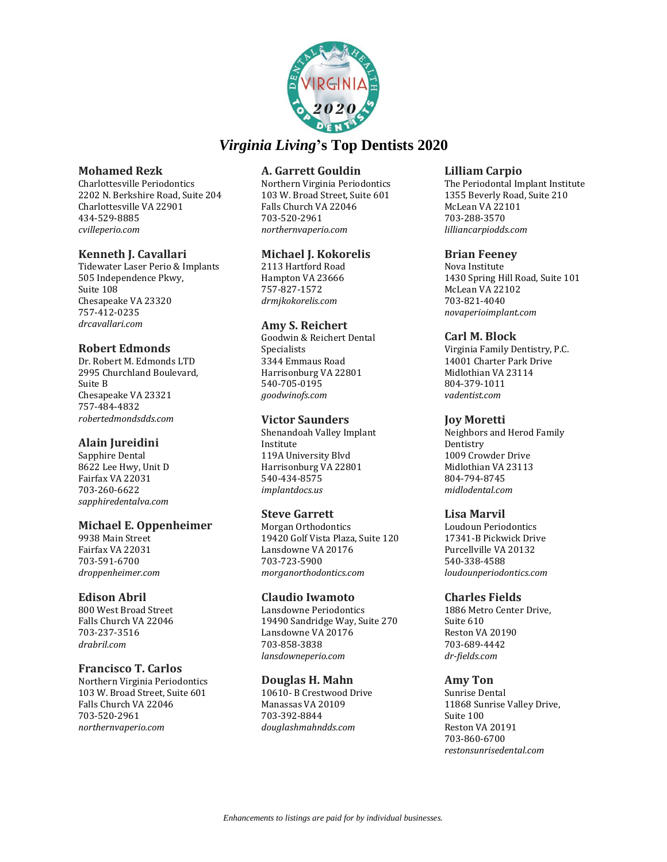![](_page_24_Picture_0.jpeg)

### **Mohamed Rezk**

Charlottesville Periodontics 2202 N. Berkshire Road, Suite 204 Charlottesville VA 22901 434-529-8885 *cvilleperio.com*

### **Kenneth J. Cavallari**

Tidewater Laser Perio & Implants 505 Independence Pkwy, Suite 108 Chesapeake VA 23320 757-412-0235 *drcavallari.com*

### **Robert Edmonds**

Dr. Robert M. Edmonds LTD 2995 Churchland Boulevard, Suite B Chesapeake VA 23321 757-484-4832 *robertedmondsdds.com*

# **Alain Jureidini**

Sapphire Dental 8622 Lee Hwy, Unit D Fairfax VA 22031 703-260-6622 *sapphiredentalva.com*

### **Michael E. Oppenheimer**

9938 Main Street Fairfax VA 22031 703-591-6700 *droppenheimer.com*

### **Edison Abril**

800 West Broad Street Falls Church VA 22046 703-237-3516 *drabril.com*

### **Francisco T. Carlos**

Northern Virginia Periodontics 103 W. Broad Street, Suite 601 Falls Church VA 22046 703-520-2961 *northernvaperio.com*

### **A. Garrett Gouldin**

Northern Virginia Periodontics 103 W. Broad Street, Suite 601 Falls Church VA 22046 703-520-2961 *northernvaperio.com*

### **Michael J. Kokorelis**

2113 Hartford Road Hampton VA 23666 757-827-1572 *drmjkokorelis.com*

### **Amy S. Reichert**

Goodwin & Reichert Dental Specialists 3344 Emmaus Road Harrisonburg VA 22801 540-705-0195 *goodwinofs.com*

### **Victor Saunders**

Shenandoah Valley Implant Institute 119A University Blvd Harrisonburg VA 22801 540-434-8575 *implantdocs.us*

### **Steve Garrett**

Morgan Orthodontics 19420 Golf Vista Plaza, Suite 120 Lansdowne VA 20176 703-723-5900 *morganorthodontics.com*

### **Claudio Iwamoto**

Lansdowne Periodontics 19490 Sandridge Way, Suite 270 Lansdowne VA 20176 703-858-3838 *lansdowneperio.com*

### **Douglas H. Mahn**

10610- B Crestwood Drive Manassas VA 20109 703-392-8844 *douglashmahndds.com*

### **Lilliam Carpio**

The Periodontal Implant Institute 1355 Beverly Road, Suite 210 McLean VA 22101 703-288-3570 *lilliancarpiodds.com*

### **Brian Feeney**

Nova Institute 1430 Spring Hill Road, Suite 101 McLean VA 22102 703-821-4040 *novaperioimplant.com*

### **Carl M. Block**

Virginia Family Dentistry, P.C. 14001 Charter Park Drive Midlothian VA 23114 804-379-1011 *vadentist.com*

### **Joy Moretti**

Neighbors and Herod Family **Dentistry** 1009 Crowder Drive Midlothian VA 23113 804-794-8745 *midlodental.com*

### **Lisa Marvil**

Loudoun Periodontics 17341-B Pickwick Drive Purcellville VA 20132 540-338-4588 *loudounperiodontics.com*

### **Charles Fields**

1886 Metro Center Drive, Suite 610 Reston VA 20190 703-689-4442 *dr-fields.com*

### **Amy Ton**

Sunrise Dental 11868 Sunrise Valley Drive, Suite 100 Reston VA 20191 703-860-6700 *restonsunrisedental.com*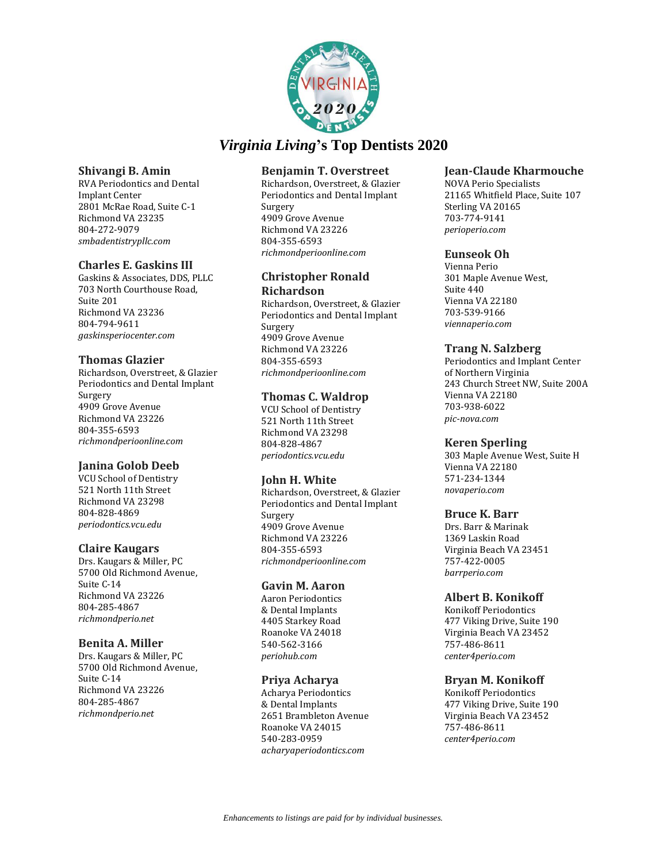![](_page_25_Picture_0.jpeg)

### **Shivangi B. Amin**

RVA Periodontics and Dental Implant Center 2801 McRae Road, Suite C-1 Richmond VA 23235 804-272-9079 *smbadentistrypllc.com*

# **Charles E. Gaskins III**

Gaskins & Associates, DDS, PLLC 703 North Courthouse Road, Suite 201 Richmond VA 23236 804-794-9611 *gaskinsperiocenter.com*

### **Thomas Glazier**

Richardson, Overstreet, & Glazier Periodontics and Dental Implant Surgery 4909 Grove Avenue Richmond VA 23226 804-355-6593 *richmondperioonline.com*

# **Janina Golob Deeb**

VCU School of Dentistry 521 North 11th Street Richmond VA 23298 804-828-4869 *periodontics.vcu.edu*

# **Claire Kaugars**

Drs. Kaugars & Miller, PC 5700 Old Richmond Avenue, Suite C-14 Richmond VA 23226 804-285-4867 *richmondperio.net*

### **Benita A. Miller**

Drs. Kaugars & Miller, PC 5700 Old Richmond Avenue, Suite C-14 Richmond VA 23226 804-285-4867 *richmondperio.net*

# **Benjamin T. Overstreet**

Richardson, Overstreet, & Glazier Periodontics and Dental Implant Surgery 4909 Grove Avenue Richmond VA 23226 804-355-6593 *richmondperioonline.com*

### **Christopher Ronald Richardson**

Richardson, Overstreet, & Glazier Periodontics and Dental Implant Surgery 4909 Grove Avenue Richmond VA 23226 804-355-6593 *richmondperioonline.com*

# **Thomas C. Waldrop**

VCU School of Dentistry 521 North 11th Street Richmond VA 23298 804-828-4867 *periodontics.vcu.edu*

# **John H. White**

Richardson, Overstreet, & Glazier Periodontics and Dental Implant Surgery 4909 Grove Avenue Richmond VA 23226 804-355-6593 *richmondperioonline.com*

### **Gavin M. Aaron**

Aaron Periodontics & Dental Implants 4405 Starkey Road Roanoke VA 24018 540-562-3166 *periohub.com*

### **Priya Acharya**

Acharya Periodontics & Dental Implants 2651 Brambleton Avenue Roanoke VA 24015 540-283-0959 *acharyaperiodontics.com*

# **Jean-Claude Kharmouche**

NOVA Perio Specialists 21165 Whitfield Place, Suite 107 Sterling VA 20165 703-774-9141 *perioperio.com*

### **Eunseok Oh**

Vienna Perio 301 Maple Avenue West, Suite 440 Vienna VA 22180 703-539-9166 *viennaperio.com*

### **Trang N. Salzberg**

Periodontics and Implant Center of Northern Virginia 243 Church Street NW, Suite 200A Vienna VA 22180 703-938-6022 *pic-nova.com*

# **Keren Sperling**

303 Maple Avenue West, Suite H Vienna VA 22180 571-234-1344 *novaperio.com*

# **Bruce K. Barr**

Drs. Barr & Marinak 1369 Laskin Road Virginia Beach VA 23451 757-422-0005 *barrperio.com*

# **Albert B. Konikoff**

Konikoff Periodontics 477 Viking Drive, Suite 190 Virginia Beach VA 23452 757-486-8611 *center4perio.com*

# **Bryan M. Konikoff**

Konikoff Periodontics 477 Viking Drive, Suite 190 Virginia Beach VA 23452 757-486-8611 *center4perio.com*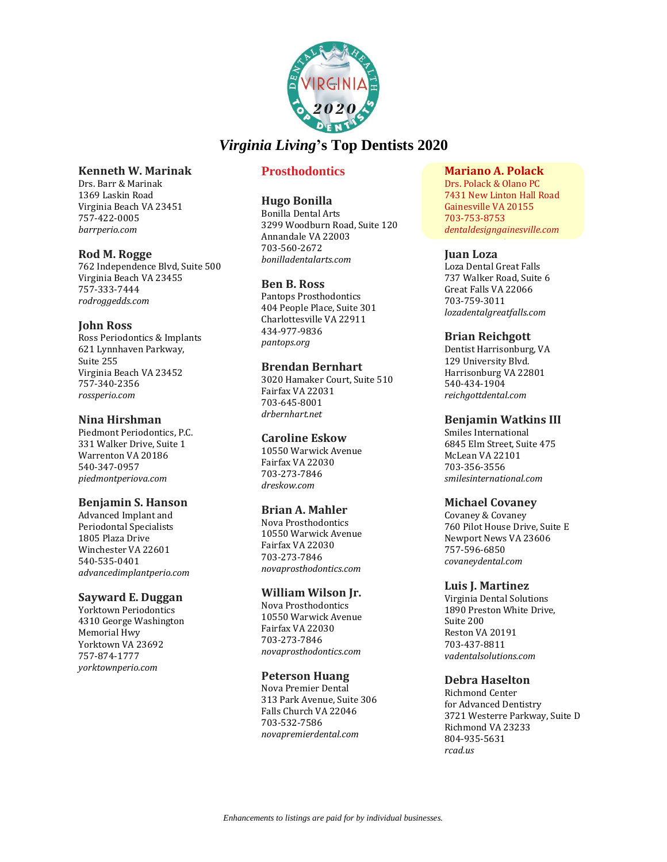![](_page_26_Picture_0.jpeg)

### **Kenneth W. Marinak**

Drs. Barr & Marinak 1369 Laskin Road Virginia Beach VA 23451 757-422-0005 *barrperio.com*

#### **Rod M. Rogge**

762 Independence Blvd, Suite 500 Virginia Beach VA 23455 757-333-7444 *rodroggedds.com*

#### **John Ross**

Ross Periodontics & Implants 621 Lynnhaven Parkway, Suite 255 Virginia Beach VA 23452 757-340-2356 *rossperio.com*

#### **Nina Hirshman**

Piedmont Periodontics, P.C. 331 Walker Drive, Suite 1 Warrenton VA 20186 540-347-0957 *piedmontperiova.com*

### **Benjamin S. Hanson**

Advanced Implant and Periodontal Specialists 1805 Plaza Drive Winchester VA 22601 540-535-0401 *advancedimplantperio.com*

#### **Sayward E. Duggan**

Yorktown Periodontics 4310 George Washington Memorial Hwy Yorktown VA 23692 757-874-1777 *yorktownperio.com*

# **Prosthodontics**

#### **Hugo Bonilla**

Bonilla Dental Arts 3299 Woodburn Road, Suite 120 Annandale VA 22003 703-560-2672 *bonilladentalarts.com*

#### **Ben B. Ross**

Pantops Prosthodontics 404 People Place, Suite 301 Charlottesville VA 22911 434-977-9836 *pantops.org*

### **Brendan Bernhart**

3020 Hamaker Court, Suite 510 Fairfax VA 22031 703-645-8001 *drbernhart.net*

### **Caroline Eskow**

10550 Warwick Avenue Fairfax VA 22030 703-273-7846 *dreskow.com*

#### **Brian A. Mahler**

Nova Prosthodontics 10550 Warwick Avenue Fairfax VA 22030 703-273-7846 *novaprosthodontics.com*

### **William Wilson Jr.**

Nova Prosthodontics 10550 Warwick Avenue Fairfax VA 22030 703-273-7846 *novaprosthodontics.com*

#### **Peterson Huang**

Nova Premier Dental 313 Park Avenue, Suite 306 Falls Church VA 22046 703-532-7586 *novapremierdental.com*

# **Mariano A. Polack**

Drs. Polack & Olano PC 7431 New Linton Hall Road Gainesville VA 20155 703-753-8753 *dentaldesigngainesville.com*

#### **Juan Loza**

Loza Dental Great Falls 737 Walker Road, Suite 6 Great Falls VA 22066 703-759-3011 *lozadentalgreatfalls.com*

#### **Brian Reichgott**

Dentist Harrisonburg, VA 129 University Blvd. Harrisonburg VA 22801 540-434-1904 *reichgottdental.com*

### **Benjamin Watkins III**

Smiles International 6845 Elm Street, Suite 475 McLean VA 22101 703-356-3556 *smilesinternational.com*

### **Michael Covaney**

Covaney & Covaney 760 Pilot House Drive, Suite E Newport News VA 23606 757-596-6850 *covaneydental.com*

#### **Luis J. Martinez**

Virginia Dental Solutions 1890 Preston White Drive, Suite 200 Reston VA 20191 703-437-8811 *vadentalsolutions.com*

### **Debra Haselton**

Richmond Center for Advanced Dentistry 3721 Westerre Parkway, Suite D Richmond VA 23233 804-935-5631 *rcad.us*